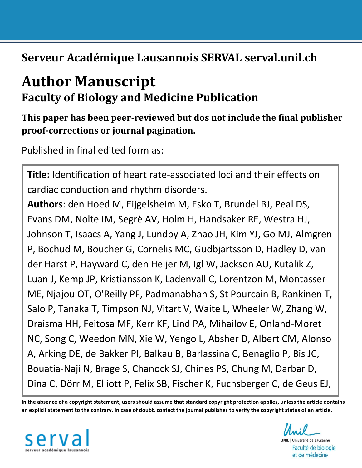# **Serveur Académique Lausannois SERVAL serval.unil.ch**

# **Author Manuscript Faculty of Biology and Medicine Publication**

# **This paper has been peer-reviewed but dos not include the final publisher proof-corrections or journal pagination.**

Published in final edited form as:

**Title:** Identification of heart rate-associated loci and their effects on cardiac conduction and rhythm disorders.

**Authors**: den Hoed M, Eijgelsheim M, Esko T, Brundel BJ, Peal DS, Evans DM, Nolte IM, Segrè AV, Holm H, Handsaker RE, Westra HJ, Johnson T, Isaacs A, Yang J, Lundby A, Zhao JH, Kim YJ, Go MJ, Almgren P, Bochud M, Boucher G, Cornelis MC, Gudbjartsson D, Hadley D, van der Harst P, Hayward C, den Heijer M, Igl W, Jackson AU, Kutalik Z, Luan J, Kemp JP, Kristiansson K, Ladenvall C, Lorentzon M, Montasser ME, Njajou OT, O'Reilly PF, Padmanabhan S, St Pourcain B, Rankinen T, Salo P, Tanaka T, Timpson NJ, Vitart V, Waite L, Wheeler W, Zhang W, Draisma HH, Feitosa MF, Kerr KF, Lind PA, Mihailov E, Onland-Moret NC, Song C, Weedon MN, Xie W, Yengo L, Absher D, Albert CM, Alonso A, Arking DE, de Bakker PI, Balkau B, Barlassina C, Benaglio P, Bis JC, Bouatia-Naji N, Brage S, Chanock SJ, Chines PS, Chung M, Darbar D, Dina C, Dörr M, Elliott P, Felix SB, Fischer K, Fuchsberger C, de Geus EJ,

**In the absence of a copyright statement, users should assume that standard copyright protection applies, unless the article contains<br>In the absence of a copyright statement, users should assume that standard copyright pro** an explicit statement to the contrary. In case of doubt, contact the journal publisher to verify the copyright status of an article.<br>



L, Laiho P, Lakatta EG, Langenberg C, Leusink M, Liu Y, Luben RN,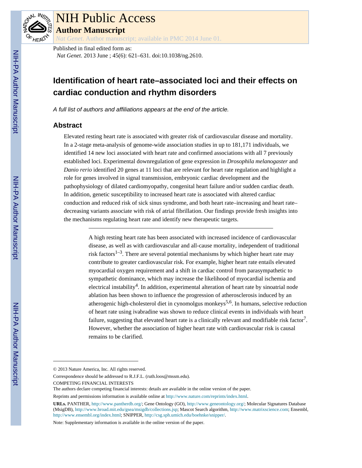

# NIH Public Access

**Author Manuscript**

*Nat Genet*. Author manuscript; available in PMC 2014 June 01.

Published in final edited form as: *Nat Genet*. 2013 June ; 45(6): 621–631. doi:10.1038/ng.2610.

# **Identification of heart rate–associated loci and their effects on cardiac conduction and rhythm disorders**

A full list of authors and affiliations appears at the end of the article.

# **Abstract**

Elevated resting heart rate is associated with greater risk of cardiovascular disease and mortality. In a 2-stage meta-analysis of genome-wide association studies in up to 181,171 individuals, we identified 14 new loci associated with heart rate and confirmed associations with all 7 previously established loci. Experimental downregulation of gene expression in *Drosophila melanogaster* and *Danio rerio* identified 20 genes at 11 loci that are relevant for heart rate regulation and highlight a role for genes involved in signal transmission, embryonic cardiac development and the pathophysiology of dilated cardiomyopathy, congenital heart failure and/or sudden cardiac death. In addition, genetic susceptibility to increased heart rate is associated with altered cardiac conduction and reduced risk of sick sinus syndrome, and both heart rate–increasing and heart rate– decreasing variants associate with risk of atrial fibrillation. Our findings provide fresh insights into the mechanisms regulating heart rate and identify new therapeutic targets.

> A high resting heart rate has been associated with increased incidence of cardiovascular disease, as well as with cardiovascular and all-cause mortality, independent of traditional risk factors<sup>1–3</sup>. There are several potential mechanisms by which higher heart rate may contribute to greater cardiovascular risk. For example, higher heart rate entails elevated myocardial oxygen requirement and a shift in cardiac control from parasympathetic to sympathetic dominance, which may increase the likelihood of myocardial ischemia and electrical instability<sup>4</sup>. In addition, experimental alteration of heart rate by sinoatrial node ablation has been shown to influence the progression of atherosclerosis induced by an atherogenic high-cholesterol diet in cynomolgus monkeys<sup>5,6</sup>. In humans, selective reduction of heart rate using ivabradine was shown to reduce clinical events in individuals with heart failure, suggesting that elevated heart rate is a clinically relevant and modifiable risk factor<sup>7</sup>. However, whether the association of higher heart rate with cardiovascular risk is causal remains to be clarified.

Note: Supplementary information is available in the online version of the paper.

<sup>© 2013</sup> Nature America, Inc. All rights reserved.

Correspondence should be addressed to R.J.F.L. (ruth.loos@mssm.edu).

COMPETING FINANCIAL INTERESTS

The authors declare competing financial interests: details are available in the online version of the paper.

Reprints and permissions information is available online at <http://www.nature.com/reprints/index.html>.

**URLs.** PANTHER, <http://www.pantherdb.org/>; Gene Ontology (GO),<http://www.geneontology.org/>; Molecular Signatures Database (MsigDB), <http://www.broad.mit.edu/gsea/msigdb/collections.jsp>; Mascot Search algorithm, [http://www.matrixscience.com;](http://www.matrixscience.com) Ensembl, <http://www.ensembl.org/index.html>; SNIPPER, <http://csg.sph.umich.edu/boehnke/snipper/>.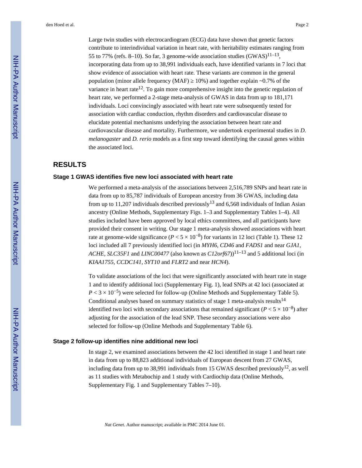Large twin studies with electrocardiogram (ECG) data have shown that genetic factors contribute to interindividual variation in heart rate, with heritability estimates ranging from 55 to 77% (refs. 8–10). So far, 3 genome-wide association studies  $(GWAS)^{11-13}$ , incorporating data from up to 38,991 individuals each, have identified variants in 7 loci that show evidence of association with heart rate. These variants are common in the general population (minor allele frequency (MAF)  $10\%$ ) and together explain ~0.7% of the variance in heart rate<sup>12</sup>. To gain more comprehensive insight into the genetic regulation of heart rate, we performed a 2-stage meta-analysis of GWAS in data from up to 181,171 individuals. Loci convincingly associated with heart rate were subsequently tested for association with cardiac conduction, rhythm disorders and cardiovascular disease to elucidate potential mechanisms underlying the association between heart rate and cardiovascular disease and mortality. Furthermore, we undertook experimental studies in *D. melanogaster* and *D. rerio* models as a first step toward identifying the causal genes within the associated loci.

#### **RESULTS**

#### **Stage 1 GWAS identifies five new loci associated with heart rate**

We performed a meta-analysis of the associations between 2,516,789 SNPs and heart rate in data from up to 85,787 individuals of European ancestry from 36 GWAS, including data from up to 11,207 individuals described previously<sup>13</sup> and 6,568 individuals of Indian Asian ancestry (Online Methods, Supplementary Figs. 1–3 and Supplementary Tables 1–4). All studies included have been approved by local ethics committees, and all participants have provided their consent in writing. Our stage 1 meta-analysis showed associations with heart rate at genome-wide significance ( $P < 5 \times 10^{-8}$ ) for variants in 12 loci (Table 1). These 12 loci included all 7 previously identified loci (in *MYH6, CD46* and *FADS1* and near *GJA1, ACHE, SLC35F1* and *LINC00477* (also known as *C12orf67*)<sup>11–13</sup> and 5 additional loci (in *KIAA1755, CCDC141, SYT10* and *FLRT2* and near *HCN4*).

To validate associations of the loci that were significantly associated with heart rate in stage 1 and to identify additional loci (Supplementary Fig. 1), lead SNPs at 42 loci (associated at  $P < 3 \times 10^{-5}$ ) were selected for follow-up (Online Methods and Supplementary Table 5). Conditional analyses based on summary statistics of stage 1 meta-analysis results<sup>14</sup> identified two loci with secondary associations that remained significant ( $P < 5 \times 10^{-8}$ ) after adjusting for the association of the lead SNP. These secondary associations were also selected for follow-up (Online Methods and Supplementary Table 6).

#### **Stage 2 follow-up identifies nine additional new loci**

In stage 2, we examined associations between the 42 loci identified in stage 1 and heart rate in data from up to 88,823 additional individuals of European descent from 27 GWAS, including data from up to 38,991 individuals from 15 GWAS described previously<sup>12</sup>, as well as 11 studies with Metabochip and 1 study with Cardiochip data (Online Methods, Supplementary Fig. 1 and Supplementary Tables 7–10).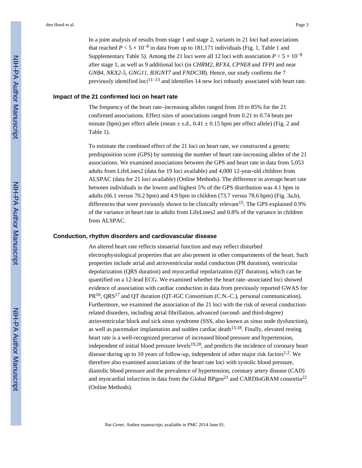In a joint analysis of results from stage 1 and stage 2, variants in 21 loci had associations that reached  $P < 5 \times 10^{-8}$  in data from up to 181,171 individuals (Fig. 1, Table 1 and Supplementary Table 5). Among the 21 loci were all 12 loci with association  $P < 5 \times 10^{-8}$ after stage 1, as well as 9 additional loci (in *CHRM2, RFX4, CPNE8* and *TFPI* and near *GNB4, NKX2-5, GNG11, B3GNT7* and *FNDC3B*). Hence, our study confirms the 7 previously identified  $loci^{11-13}$  and identifies 14 new loci robustly associated with heart rate.

#### **Impact of the 21 confirmed loci on heart rate**

The frequency of the heart rate–increasing alleles ranged from 10 to 85% for the 21 confirmed associations. Effect sizes of associations ranged from 0.21 to 0.74 beats per minute (bpm) per effect allele (mean  $\pm$  s.d., 0.41  $\pm$  0.15 bpm per effect allele) (Fig. 2 and Table 1).

To estimate the combined effect of the 21 loci on heart rate, we constructed a genetic predisposition score (GPS) by summing the number of heart rate-increasing alleles of the 21 associations. We examined associations between the GPS and heart rate in data from 5,053 adults from LifeLines2 (data for 19 loci available) and 4,000 12-year-old children from ALSPAC (data for 21 loci available) (Online Methods). The difference in average heart rate between individuals in the lowest and highest 5% of the GPS distribution was 4.1 bpm in adults  $(66.1 \text{ versus } 70.2 \text{ bpm})$  and 4.9 bpm in children  $(73.7 \text{ versus } 78.6 \text{ bpm})$  (Fig. 3a,b), differences that were previously shown to be clinically relevant<sup>15</sup>. The GPS explained  $0.9\%$ of the variance in heart rate in adults from LifeLines2 and 0.8% of the variance in children from ALSPAC.

#### **Conduction, rhythm disorders and cardiovascular disease**

An altered heart rate reflects sinoatrial function and may reflect disturbed electrophysiological properties that are also present in other compartments of the heart. Such properties include atrial and atrioventricular nodal conduction (PR duration), ventricular depolarization (QRS duration) and myocardial repolarization (QT duration), which can be quantified on a 12-lead ECG. We examined whether the heart rate–associated loci showed evidence of association with cardiac conduction in data from previously reported GWAS for PR<sup>16</sup>, QRS<sup>17</sup> and QT duration (QT-IGC Consortium (C.N.-C.), personal communication). Furthermore, we examined the association of the 21 loci with the risk of several conductionrelated disorders, including atrial fibrillation, advanced (second- and third-degree) atrioventricular block and sick sinus syndrome (SSS, also known as sinus node dysfunction), as well as pacemaker implantation and sudden cardiac death<sup>13,18</sup>. Finally, elevated resting heart rate is a well-recognized precursor of increased blood pressure and hypertension, independent of initial blood pressure levels $19,20$ , and predicts the incidence of coronary heart disease during up to 10 years of follow-up, independent of other major risk factors<sup>1,2</sup>. We therefore also examined associations of the heart rate loci with systolic blood pressure, diastolic blood pressure and the prevalence of hypertension, coronary artery disease (CAD) and myocardial infarction in data from the Global  $BPgen^{21}$  and CARDIoGRAM consortia<sup>22</sup> (Online Methods).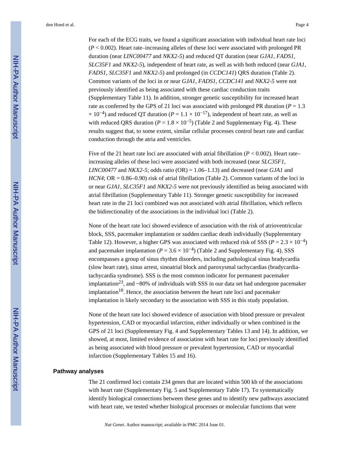For each of the ECG traits, we found a significant association with individual heart rate loci (*P* < 0.002). Heart rate–increasing alleles of these loci were associated with prolonged PR duration (near *LINC00477* and *NKX2-5*) and reduced QT duration (near *GJA1*, *FADS1*, *SLC35F1* and *NKX2-5*), independent of heart rate, as well as with both reduced (near *GJA1*, *FADS1*, *SLC35F1* and *NKX2-5*) and prolonged (in *CCDC141*) QRS duration (Table 2). Common variants of the loci in or near *GJA1*, *FADS1*, *CCDC141* and *NKX2-5* were not previously identified as being associated with these cardiac conduction traits (Supplementary Table 11). In addition, stronger genetic susceptibility for increased heart rate as conferred by the GPS of 21 loci was associated with prolonged PR duration ( $P = 1.3$ )  $\times 10^{-4}$ ) and reduced OT duration (*P* = 1.1  $\times 10^{-17}$ ), independent of heart rate, as well as with reduced QRS duration ( $P = 1.8 \times 10^{-5}$ ) (Table 2 and Supplementary Fig. 4). These results suggest that, to some extent, similar cellular processes control heart rate and cardiac conduction through the atria and ventricles.

Five of the 21 heart rate loci are associated with atrial fibrillation (*P* < 0.002). Heart rate– increasing alleles of these loci were associated with both increased (near *SLC35F1, LINC00477* and *NKX2-5*; odds ratio (OR) = 1.06–1.13) and decreased (near *GJA1* and *HCN4*; OR = 0.86–0.90) risk of atrial fibrillation (Table 2). Common variants of the loci in or near *GJA1, SLC35F1* and *NKX2-5* were not previously identified as being associated with atrial fibrillation (Supplementary Table 11). Stronger genetic susceptibility for increased heart rate in the 21 loci combined was not associated with atrial fibrillation, which reflects the bidirectionality of the associations in the individual loci (Table 2).

None of the heart rate loci showed evidence of association with the risk of atrioventricular block, SSS, pacemaker implantation or sudden cardiac death individually (Supplementary Table 12). However, a higher GPS was associated with reduced risk of SSS ( $P = 2.3 \times 10^{-4}$ ) and pacemaker implantation ( $P = 3.6 \times 10^{-4}$ ) (Table 2 and Supplementary Fig. 4). SSS encompasses a group of sinus rhythm disorders, including pathological sinus bradycardia (slow heart rate), sinus arrest, sinoatrial block and paroxysmal tachycardias (bradycardiatachycardia syndrome). SSS is the most common indicator for permanent pacemaker implantation<sup>23</sup>, and  $\sim$ 80% of individuals with SSS in our data set had undergone pacemaker implantation<sup>18</sup>. Hence, the association between the heart rate loci and pacemaker implantation is likely secondary to the association with SSS in this study population.

None of the heart rate loci showed evidence of association with blood pressure or prevalent hypertension, CAD or myocardial infarction, either individually or when combined in the GPS of 21 loci (Supplementary Fig. 4 and Supplementary Tables 13 and 14). In addition, we showed, at most, limited evidence of association with heart rate for loci previously identified as being associated with blood pressure or prevalent hypertension, CAD or myocardial infarction (Supplementary Tables 15 and 16).

#### **Pathway analyses**

The 21 confirmed loci contain 234 genes that are located within 500 kb of the associations with heart rate (Supplementary Fig. 5 and Supplementary Table 17). To systematically identify biological connections between these genes and to identify new pathways associated with heart rate, we tested whether biological processes or molecular functions that were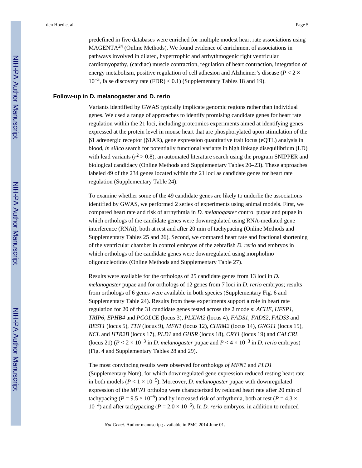predefined in five databases were enriched for multiple modest heart rate associations using  $MAGENTA<sup>24</sup>$  (Online Methods). We found evidence of enrichment of associations in pathways involved in dilated, hypertrophic and arrhythmogenic right ventricular cardiomyopathy, (cardiac) muscle contraction, regulation of heart contraction, integration of energy metabolism, positive regulation of cell adhesion and Alzheimer's disease ( $P < 2 \times$  $10^{-3}$ , false discovery rate (FDR) < 0.1) (Supplementary Tables 18 and 19).

#### **Follow-up in D. melanogaster and D. rerio**

Variants identified by GWAS typically implicate genomic regions rather than individual genes. We used a range of approaches to identify promising candidate genes for heart rate regulation within the 21 loci, including proteomics experiments aimed at identifying genes expressed at the protein level in mouse heart that are phosphorylated upon stimulation of the β1 adrenergic receptor (β1AR), gene expression quantitative trait locus (eQTL) analysis in blood, *in silico* search for potentially functional variants in high linkage disequilibrium (LD) with lead variants ( $r^2 > 0.8$ ), an automated literature search using the program SNIPPER and biological candidacy (Online Methods and Supplementary Tables 20–23). These approaches labeled 49 of the 234 genes located within the 21 loci as candidate genes for heart rate regulation (Supplementary Table 24).

To examine whether some of the 49 candidate genes are likely to underlie the associations identified by GWAS, we performed 2 series of experiments using animal models. First, we compared heart rate and risk of arrhythmia in *D. melanogaster* control pupae and pupae in which orthologs of the candidate genes were downregulated using RNA-mediated gene interference (RNAi), both at rest and after 20 min of tachypacing (Online Methods and Supplementary Tables 25 and 26). Second, we compared heart rate and fractional shortening of the ventricular chamber in control embryos of the zebrafish *D. rerio* and embryos in which orthologs of the candidate genes were downregulated using morpholino oligonucleotides (Online Methods and Supplementary Table 27).

Results were available for the orthologs of 25 candidate genes from 13 loci in *D. melanogaster* pupae and for orthologs of 12 genes from 7 loci in *D. rerio* embryos; results from orthologs of 6 genes were available in both species (Supplementary Fig. 6 and Supplementary Table 24). Results from these experiments support a role in heart rate regulation for 20 of the 31 candidate genes tested across the 2 models: *ACHE, UFSP1, TRIP6, EPHB4* and *PCOLCE* (locus 3), *PLXNA2* (locus 4), *FADS1, FADS2, FADS3* and *BEST1* (locus 5), *TTN* (locus 9), *MFN1* (locus 12), *CHRM2* (locus 14), *GNG11* (locus 15), *NCL* and *HTR2B* (locus 17), *PLD1* and *GHSR* (locus 18), *CRY1* (locus 19) and *CALCRL* (locus 21) ( $P < 2 \times 10^{-3}$  in *D. melanogaster* pupae and  $P < 4 \times 10^{-3}$  in *D. rerio* embryos) (Fig. 4 and Supplementary Tables 28 and 29).

The most convincing results were observed for orthologs *of MFN1* and *PLD1* (Supplementary Note), for which downregulated gene expression reduced resting heart rate in both models ( $P < 1 \times 10^{-5}$ ). Moreover, *D. melanogaster* pupae with downregulated expression of the *MFN1* ortholog were characterized by reduced heart rate after 20 min of tachypacing ( $P = 9.5 \times 10^{-5}$ ) and by increased risk of arrhythmia, both at rest ( $P = 4.3 \times$  $10^{-4}$ ) and after tachypacing ( $P = 2.0 \times 10^{-6}$ ). In *D. rerio* embryos, in addition to reduced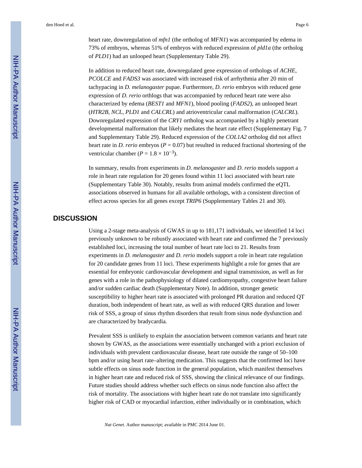heart rate, downregulation of *mfn1* (the ortholog of *MFN1*) was accompanied by edema in 73% of embryos, whereas 51% of embryos with reduced expression of *pld1a* (the ortholog of *PLD1*) had an unlooped heart (Supplementary Table 29).

In addition to reduced heart rate, downregulated gene expression of orthologs of *ACHE*, *PCOLCE* and *FADS3* was associated with increased risk of arrhythmia after 20 min of tachypacing in *D. melanogaster* pupae. Furthermore, *D. rerio* embryos with reduced gene expression of *D. rerio* orthlogs that was accompanied by reduced heart rate were also characterized by edema (*BEST1* and *MFN1*), blood pooling (*FADS2*), an unlooped heart (*HTR2B*, *NCL*, *PLD1* and *CALCRL*) and atrioventricular canal malformation (*CALCRL*). Downregulated expression of the *CRY1* ortholog was accompanied by a highly penetrant developmental malformation that likely mediates the heart rate effect (Supplementary Fig. 7 and Supplementary Table 29). Reduced expression of the *COL1A2* ortholog did not affect heart rate in *D. rerio* embryos ( $P = 0.07$ ) but resulted in reduced fractional shortening of the ventricular chamber ( $P = 1.8 \times 10^{-3}$ ).

In summary, results from experiments in *D. melanogaster* and *D. rerio* models support a role in heart rate regulation for 20 genes found within 11 loci associated with heart rate (Supplementary Table 30). Notably, results from animal models confirmed the eQTL associations observed in humans for all available orthologs, with a consistent direction of effect across species for all genes except *TRIP6* (Supplementary Tables 21 and 30).

# **DISCUSSION**

Using a 2-stage meta-analysis of GWAS in up to 181,171 individuals, we identified 14 loci previously unknown to be robustly associated with heart rate and confirmed the 7 previously established loci, increasing the total number of heart rate loci to 21. Results from experiments in *D. melanogaster* and *D. rerio* models support a role in heart rate regulation for 20 candidate genes from 11 loci. These experiments highlight a role for genes that are essential for embryonic cardiovascular development and signal transmission, as well as for genes with a role in the pathophysiology of dilated cardiomyopathy, congestive heart failure and/or sudden cardiac death (Supplementary Note). In addition, stronger genetic susceptibility to higher heart rate is associated with prolonged PR duration and reduced QT duration, both independent of heart rate, as well as with reduced QRS duration and lower risk of SSS, a group of sinus rhythm disorders that result from sinus node dysfunction and are characterized by bradycardia.

Prevalent SSS is unlikely to explain the association between common variants and heart rate shown by GWAS, as the associations were essentially unchanged with a priori exclusion of individuals with prevalent cardiovascular disease, heart rate outside the range of 50–100 bpm and/or using heart rate–altering medication. This suggests that the confirmed loci have subtle effects on sinus node function in the general population, which manifest themselves in higher heart rate and reduced risk of SSS, showing the clinical relevance of our findings. Future studies should address whether such effects on sinus node function also affect the risk of mortality. The associations with higher heart rate do not translate into significantly higher risk of CAD or myocardial infarction, either individually or in combination, which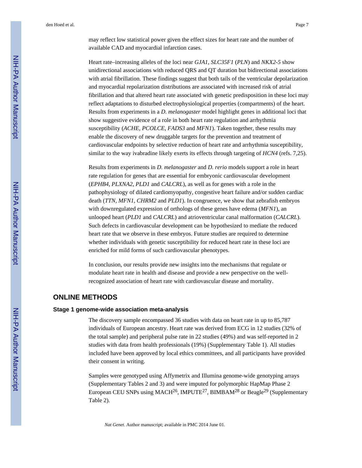may reflect low statistical power given the effect sizes for heart rate and the number of available CAD and myocardial infarction cases.

Heart rate–increasing alleles of the loci near *GJA1*, *SLC35F1* (*PLN*) and *NKX2-5* show unidirectional associations with reduced QRS and QT duration but bidirectional associations with atrial fibrillation. These findings suggest that both tails of the ventricular depolarization and myocardial repolarization distributions are associated with increased risk of atrial fibrillation and that altered heart rate associated with genetic predisposition in these loci may reflect adaptations to disturbed electrophysiological properties (compartments) of the heart. Results from experiments in a *D. melanogaster* model highlight genes in additional loci that show suggestive evidence of a role in both heart rate regulation and arrhythmia susceptibility (*ACHE*, *PCOLCE*, *FADS3* and *MFN1*). Taken together, these results may enable the discovery of new druggable targets for the prevention and treatment of cardiovascular endpoints by selective reduction of heart rate and arrhythmia susceptibility, similar to the way ivabradine likely exerts its effects through targeting of *HCN4* (refs. 7,25).

Results from experiments in *D. melanogaster* and *D. rerio* models support a role in heart rate regulation for genes that are essential for embryonic cardiovascular development (*EPHB4*, *PLXNA2*, *PLD1* and *CALCRL*), as well as for genes with a role in the pathophysiology of dilated cardiomyopathy, congestive heart failure and/or sudden cardiac death (*TTN*, *MFN1*, *CHRM2* and *PLD1*). In congruence, we show that zebrafish embryos with downregulated expression of orthologs of these genes have edema (*MFN1*), an unlooped heart (*PLD1* and *CALCRL*) and atrioventricular canal malformation (*CALCRL*). Such defects in cardiovascular development can be hypothesized to mediate the reduced heart rate that we observe in these embryos. Future studies are required to determine whether individuals with genetic susceptibility for reduced heart rate in these loci are enriched for mild forms of such cardiovascular phenotypes.

In conclusion, our results provide new insights into the mechanisms that regulate or modulate heart rate in health and disease and provide a new perspective on the wellrecognized association of heart rate with cardiovascular disease and mortality.

# **ONLINE METHODS**

#### **Stage 1 genome-wide association meta-analysis**

The discovery sample encompassed 36 studies with data on heart rate in up to 85,787 individuals of European ancestry. Heart rate was derived from ECG in 12 studies (32% of the total sample) and peripheral pulse rate in 22 studies (49%) and was self-reported in 2 studies with data from health professionals (19%) (Supplementary Table 1). All studies included have been approved by local ethics committees, and all participants have provided their consent in writing.

Samples were genotyped using Affymetrix and Illumina genome-wide genotyping arrays (Supplementary Tables 2 and 3) and were imputed for polymorphic HapMap Phase 2 European CEU SNPs using MACH<sup>26</sup>, IMPUTE<sup>27</sup>, BIMBAM<sup>28</sup> or Beagle<sup>29</sup> (Supplementary Table 2).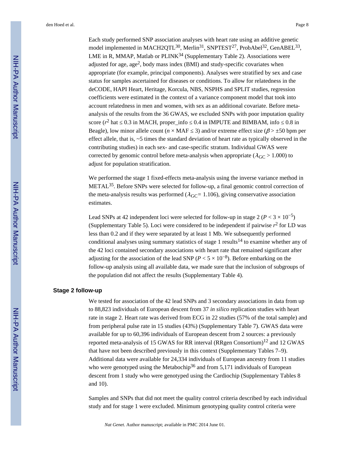Each study performed SNP association analyses with heart rate using an additive genetic model implemented in MACH2QTL<sup>30</sup>, Merlin<sup>31</sup>, SNPTEST<sup>27</sup>, ProbAbel<sup>32</sup>, GenABEL<sup>33</sup>, LME in R, MMAP, Matlab or  $PLINK^{34}$  (Supplementary Table 2). Associations were adjusted for age, age<sup>2</sup>, body mass index (BMI) and study-specific covariates when appropriate (for example, principal components). Analyses were stratified by sex and case status for samples ascertained for diseases or conditions. To allow for relatedness in the deCODE, HAPI Heart, Heritage, Korcula, NBS, NSPHS and SPLIT studies, regression coefficients were estimated in the context of a variance component model that took into account relatedness in men and women, with sex as an additional covariate. Before metaanalysis of the results from the 36 GWAS, we excluded SNPs with poor imputation quality score  $(r^2)$  hat  $(0.3)$  in MACH, proper\_info  $(0.4)$  in IMPUTE and BIMBAM, info  $(0.8)$  in Beagle), low minor allele count ( $n \times \text{MAF} = 3$ ) and/or extreme effect size ( $\beta$  >  $\pm$ 50 bpm per effect allele, that is,  $\sim$  5 times the standard deviation of heart rate as typically observed in the contributing studies) in each sex- and case-specific stratum. Individual GWAS were corrected by genomic control before meta-analysis when appropriate ( $\lambda_{\rm GC} > 1.000$ ) to adjust for population stratification.

We performed the stage 1 fixed-effects meta-analysis using the inverse variance method in METAL<sup>35</sup>. Before SNPs were selected for follow-up, a final genomic control correction of the meta-analysis results was performed  $(\lambda_{\text{GC}}=1.106)$ , giving conservative association estimates.

Lead SNPs at 42 independent loci were selected for follow-up in stage  $2 (P < 3 \times 10^{-5})$ (Supplementary Table 5). Loci were considered to be independent if pairwise  $r^2$  for LD was less than 0.2 and if they were separated by at least 1 Mb. We subsequently performed conditional analyses using summary statistics of stage 1 results<sup>14</sup> to examine whether any of the 42 loci contained secondary associations with heart rate that remained significant after adjusting for the association of the lead SNP ( $P < 5 \times 10^{-8}$ ). Before embarking on the follow-up analysis using all available data, we made sure that the inclusion of subgroups of the population did not affect the results (Supplementary Table 4).

#### **Stage 2 follow-up**

We tested for association of the 42 lead SNPs and 3 secondary associations in data from up to 88,823 individuals of European descent from 37 *in silico* replication studies with heart rate in stage 2. Heart rate was derived from ECG in 22 studies (57% of the total sample) and from peripheral pulse rate in 15 studies (43%) (Supplementary Table 7). GWAS data were available for up to 60,396 individuals of European descent from 2 sources: a previously reported meta-analysis of 15 GWAS for RR interval (RRgen Consortium)<sup>12</sup> and 12 GWAS that have not been described previously in this context (Supplementary Tables 7–9). Additional data were available for 24,334 individuals of European ancestry from 11 studies who were genotyped using the Metabochip<sup>36</sup> and from 5,171 individuals of European descent from 1 study who were genotyped using the Cardiochip (Supplementary Tables 8 and 10).

Samples and SNPs that did not meet the quality control criteria described by each individual study and for stage 1 were excluded. Minimum genotyping quality control criteria were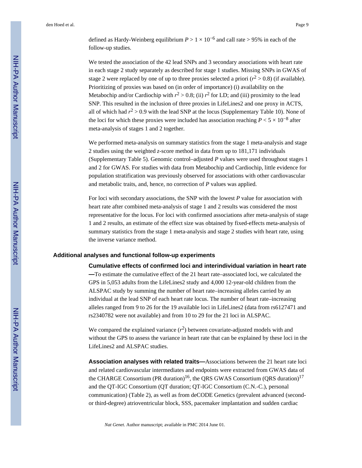defined as Hardy-Weinberg equilibrium  $P > 1 \times 10^{-6}$  and call rate > 95% in each of the follow-up studies.

We tested the association of the 42 lead SNPs and 3 secondary associations with heart rate in each stage 2 study separately as described for stage 1 studies. Missing SNPs in GWAS of stage 2 were replaced by one of up to three proxies selected a priori  $(r^2 > 0.8)$  (if available). Prioritizing of proxies was based on (in order of importance) (i) availability on the Metabochip and/or Cardiochip with  $r^2 > 0.8$ ; (ii)  $r^2$  for LD; and (iii) proximity to the lead SNP. This resulted in the inclusion of three proxies in LifeLines2 and one proxy in ACTS, all of which had  $r^2 > 0.9$  with the lead SNP at the locus (Supplementary Table 10). None of the loci for which these proxies were included has association reaching  $P < 5 \times 10^{-8}$  after meta-analysis of stages 1 and 2 together.

We performed meta-analysis on summary statistics from the stage 1 meta-analysis and stage 2 studies using the weighted *z*-score method in data from up to 181,171 individuals (Supplementary Table 5). Genomic control–adjusted *P* values were used throughout stages 1 and 2 for GWAS. For studies with data from Metabochip and Cardiochip, little evidence for population stratification was previously observed for associations with other cardiovascular and metabolic traits, and, hence, no correction of *P* values was applied.

For loci with secondary associations, the SNP with the lowest *P* value for association with heart rate after combined meta-analysis of stage 1 and 2 results was considered the most representative for the locus. For loci with confirmed associations after meta-analysis of stage 1 and 2 results, an estimate of the effect size was obtained by fixed-effects meta-analysis of summary statistics from the stage 1 meta-analysis and stage 2 studies with heart rate, using the inverse variance method.

#### **Additional analyses and functional follow-up experiments**

**Cumulative effects of confirmed loci and interindividual variation in heart rate —**To estimate the cumulative effect of the 21 heart rate–associated loci, we calculated the GPS in 5,053 adults from the LifeLines2 study and 4,000 12-year-old children from the ALSPAC study by summing the number of heart rate–increasing alleles carried by an individual at the lead SNP of each heart rate locus. The number of heart rate–increasing alleles ranged from 9 to 26 for the 19 available loci in LifeLines2 (data from rs6127471 and rs2340782 were not available) and from 10 to 29 for the 21 loci in ALSPAC.

We compared the explained variance  $(r^2)$  between covariate-adjusted models with and without the GPS to assess the variance in heart rate that can be explained by these loci in the LifeLines2 and ALSPAC studies.

**Association analyses with related traits—**Associations between the 21 heart rate loci and related cardiovascular intermediates and endpoints were extracted from GWAS data of the CHARGE Consortium (PR duration)<sup>16</sup>, the QRS GWAS Consortium (QRS duration)<sup>17</sup> and the QT-IGC Consortium (QT duration; QT-IGC Consortium (C.N.-C.), personal communication) (Table 2), as well as from deCODE Genetics (prevalent advanced (secondor third-degree) atrioventricular block, SSS, pacemaker implantation and sudden cardiac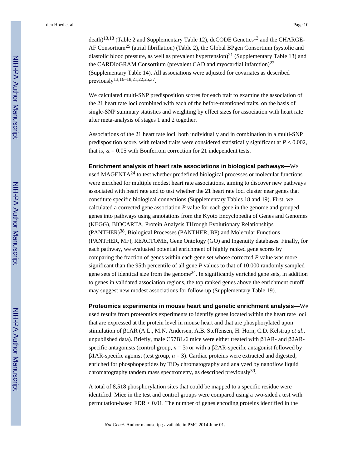$death)^{13,18}$  (Table 2 and Supplementary Table 12), deCODE Genetics<sup>13</sup> and the CHARGE-AF Consortium<sup>25</sup> (atrial fibrillation) (Table 2), the Global BPgen Consortium (systolic and diastolic blood pressure, as well as prevalent hypertension)<sup>21</sup> (Supplementary Table 13) and the CARDIoGRAM Consortium (prevalent CAD and myocardial infarction)<sup>22</sup> (Supplementary Table 14). All associations were adjusted for covariates as described previously13,16–18,21,22,25,37 .

We calculated multi-SNP predisposition scores for each trait to examine the association of the 21 heart rate loci combined with each of the before-mentioned traits, on the basis of single-SNP summary statistics and weighting by effect sizes for association with heart rate after meta-analysis of stages 1 and 2 together.

Associations of the 21 heart rate loci, both individually and in combination in a multi-SNP predisposition score, with related traits were considered statistically significant at *P* < 0.002, that is,  $a = 0.05$  with Bonferroni correction for 21 independent tests.

**Enrichment analysis of heart rate associations in biological pathways—**We used MAGENT $A^{24}$  to test whether predefined biological processes or molecular functions were enriched for multiple modest heart rate associations, aiming to discover new pathways associated with heart rate and to test whether the 21 heart rate loci cluster near genes that constitute specific biological connections (Supplementary Tables 18 and 19). First, we calculated a corrected gene association *P* value for each gene in the genome and grouped genes into pathways using annotations from the Kyoto Encyclopedia of Genes and Genomes (KEGG), BIOCARTA, Protein Analysis THrough Evolutionary Relationships (PANTHER)38, Biological Processes (PANTHER, BP) and Molecular Functions (PANTHER, MF), REACTOME, Gene Ontology (GO) and Ingenuity databases. Finally, for each pathway, we evaluated potential enrichment of highly ranked gene scores by comparing the fraction of genes within each gene set whose corrected *P* value was more significant than the 95th percentile of all gene *P* values to that of 10,000 randomly sampled gene sets of identical size from the genome<sup>24</sup>. In significantly enriched gene sets, in addition to genes in validated association regions, the top ranked genes above the enrichment cutoff may suggest new modest associations for follow-up (Supplementary Table 19).

**Proteomics experiments in mouse heart and genetic enrichment analysis—**We used results from proteomics experiments to identify genes located within the heart rate loci that are expressed at the protein level in mouse heart and that are phosphorylated upon stimulation of β1AR (A.L., M.N. Andersen, A.B. Steffensen, H. Horn, C.D. Kelstrup *et al*., unpublished data). Briefly, male C57BL/6 mice were either treated with β1AR- and β2ARspecific antagonists (control group,  $n = 3$ ) or with a  $\beta$ 2AR-specific antagonist followed by β1AR-specific agonist (test group, *n* = 3). Cardiac proteins were extracted and digested, enriched for phosphopeptides by  $TiO<sub>2</sub>$  chromatography and analyzed by nanoflow liquid chromatography tandem mass spectrometry, as described previously<sup>39</sup>.

A total of 8,518 phosphorylation sites that could be mapped to a specific residue were identified. Mice in the test and control groups were compared using a two-sided *t* test with permutation-based FDR < 0.01. The number of genes encoding proteins identified in the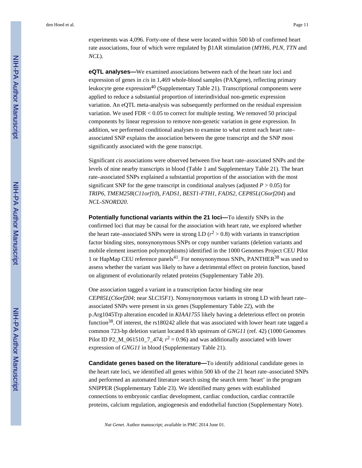experiments was 4,096. Forty-one of these were located within 500 kb of confirmed heart rate associations, four of which were regulated by β1AR stimulation (*MYH6*, *PLN*, *TTN* and *NCL*).

**eQTL analyses—**We examined associations between each of the heart rate loci and expression of genes in *cis* in 1,469 whole-blood samples (PAXgene), reflecting primary leukocyte gene expression<sup>40</sup> (Supplementary Table 21). Transcriptional components were applied to reduce a substantial proportion of interindividual non-genetic expression variation. An eQTL meta-analysis was subsequently performed on the residual expression variation. We used  $FDR < 0.05$  to correct for multiple testing. We removed 50 principal components by linear regression to remove non-genetic variation in gene expression. In addition, we performed conditional analyses to examine to what extent each heart rate– associated SNP explains the association between the gene transcript and the SNP most significantly associated with the gene transcript.

Significant *cis* associations were observed between five heart rate–associated SNPs and the levels of nine nearby transcripts in blood (Table 1 and Supplementary Table 21). The heart rate–associated SNPs explained a substantial proportion of the association with the most significant SNP for the gene transcript in conditional analyses (adjusted  $P > 0.05$ ) for *TRIP6*, *TMEM258*(*C11orf10*), *FADS1*, *BEST1*-*FTH1*, *FADS2*, *CEP85L*(*C6orf204*) and *NCL*-*SNORD20*.

**Potentially functional variants within the 21 loci—**To identify SNPs in the confirmed loci that may be causal for the association with heart rate, we explored whether the heart rate–associated SNPs were in strong  $LD (r^2 > 0.8)$  with variants in transcription factor binding sites, nonsynonymous SNPs or copy number variants (deletion variants and mobile element insertion polymorphisms) identified in the 1000 Genomes Project CEU Pilot 1 or HapMap CEU reference panels<sup>41</sup>. For nonsynonymous SNPs, PANTHER<sup>38</sup> was used to assess whether the variant was likely to have a detrimental effect on protein function, based on alignment of evolutionarily related proteins (Supplementary Table 20).

One association tagged a variant in a transcription factor binding site near *CEP85L*(*C6orf204*; near *SLC35F1*). Nonsynonymous variants in strong LD with heart rate– associated SNPs were present in six genes (Supplementary Table 22), with the p.Arg1045Trp alteration encoded in *KIAA1755* likely having a deleterious effect on protein function<sup>38</sup>. Of interest, the rs180242 allele that was associated with lower heart rate tagged a common 723-bp deletion variant located 8 kb upstream of *GNG11* (ref. 42) (1000 Genomes Pilot ID P2\_M\_061510\_7\_474;  $r^2 = 0.96$ ) and was additionally associated with lower expression of *GNG11* in blood (Supplementary Table 21).

**Candidate genes based on the literature—**To identify additional candidate genes in the heart rate loci, we identified all genes within 500 kb of the 21 heart rate–associated SNPs and performed an automated literature search using the search term 'heart' in the program SNIPPER (Supplementary Table 23). We identified many genes with established connections to embryonic cardiac development, cardiac conduction, cardiac contractile proteins, calcium regulation, angiogenesis and endothelial function (Supplementary Note).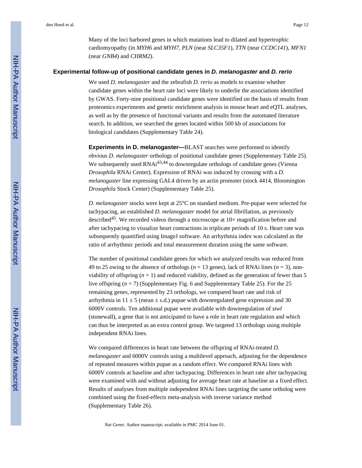Many of the loci harbored genes in which mutations lead to dilated and hypertrophic cardiomyopathy (in *MYH6* and *MYH7*, *PLN* (near *SLC35F1*), *TTN* (near *CCDC141*), *MFN1* (near *GNB4*) and *CHRM2*).

#### **Experimental follow-up of positional candidate genes in D. melanogaster and D. rerio**

We used *D. melanogaster* and the zebrafish *D. rerio* as models to examine whether candidate genes within the heart rate loci were likely to underlie the associations identified by GWAS. Forty-nine positional candidate genes were identified on the basis of results from proteomics experiments and genetic enrichment analysis in mouse heart and eQTL analyses, as well as by the presence of functional variants and results from the automated literature search. In addition, we searched the genes located within 500 kb of associations for biological candidates (Supplementary Table 24).

**Experiments in D. melanogaster—**BLAST searches were performed to identify obvious *D. melanogaster* orthologs of positional candidate genes (Supplementary Table 25). We subsequently used  $\text{RNAi}^{43,44}$  to downregulate orthologs of candidate genes (Vienna) *Drosophila* RNAi Center). Expression of RNAi was induced by crossing with a *D. melanogaster* line expressing GAL4 driven by an actin promoter (stock 4414, Bloomington *Drosophila* Stock Center) (Supplementary Table 25).

*D. melanogaster* stocks were kept at 25°C on standard medium. Pre-pupae were selected for tachypacing, an established *D. melanogaster* model for atrial fibrillation, as previously described<sup>45</sup>. We recorded videos through a microscope at  $10\times$  magnification before and after tachypacing to visualize heart contractions in triplicate periods of 10 s. Heart rate was subsequently quantified using ImageJ software. An arrhythmia index was calculated as the ratio of arrhythmic periods and total measurement duration using the same software.

The number of positional candidate genes for which we analyzed results was reduced from 49 to 25 owing to the absence of orthologs  $(n = 13 \text{ genes})$ , lack of RNAi lines  $(n = 3)$ , nonviability of offspring  $(n = 1)$  and reduced viability, defined as the generation of fewer than 5 live offspring (*n* = 7) (Supplementary Fig. 6 and Supplementary Table 25). For the 25 remaining genes, represented by 23 orthologs, we compared heart rate and risk of arrhythmia in  $11 \pm 5$  (mean  $\pm$  s.d.) pupae with downregulated gene expression and 30 6000V controls. Ten additional pupae were available with downregulation of *stwl* (stonewall), a gene that is not anticipated to have a role in heart rate regulation and which can thus be interpreted as an extra control group. We targeted 13 orthologs using multiple independent RNAi lines.

We compared differences in heart rate between the offspring of RNAi-treated *D. melanogaster* and 6000V controls using a multilevel approach, adjusting for the dependence of repeated measures within pupae as a random effect. We compared RNAi lines with 6000V controls at baseline and after tachypacing. Differences in heart rate after tachypacing were examined with and without adjusting for average heart rate at baseline as a fixed effect. Results of analyses from multiple independent RNAi lines targeting the same ortholog were combined using the fixed-effects meta-analysis with inverse variance method (Supplementary Table 26).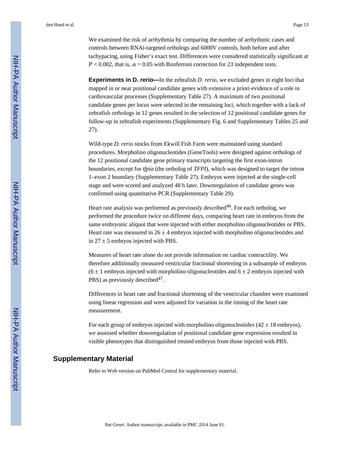We examined the risk of arrhythmia by comparing the number of arrhythmic cases and controls between RNAi-targeted orthologs and 6000V controls, both before and after tachypacing, using Fisher's exact test. Differences were considered statistically significant at  $P < 0.002$ , that is,  $a = 0.05$  with Bonferroni correction for 23 independent tests.

**Experiments in D. rerio—**In the zebrafish *D. rerio*, we excluded genes in eight loci that mapped in or near positional candidate genes with extensive a priori evidence of a role in cardiovascular processes (Supplementary Table 27). A maximum of two positional candidate genes per locus were selected in the remaining loci, which together with a lack of zebrafish orthologs in 12 genes resulted in the selection of 12 positional candidate genes for follow-up in zebrafish experiments (Supplementary Fig. 6 and Supplementary Tables 25 and 27).

Wild-type *D. rerio* stocks from Ekwill Fish Farm were maintained using standard procedures. Morpholino oligonucleotides (GeneTools) were designed against orthologs of the 12 positional candidate gene primary transcripts targeting the first exon-intron boundaries, except for *tfpia* (the ortholog of *TFPI*), which was designed to target the intron 1–exon 2 boundary (Supplementary Table 27). Embryos were injected at the single-cell stage and were scored and analyzed 48 h later. Downregulation of candidate genes was confirmed using quantitative PCR (Supplementary Table 29).

Heart rate analysis was performed as previously described<sup>46</sup>. For each ortholog, we performed the procedure twice on different days, comparing heart rate in embryos from the same embryonic aliquot that were injected with either morpholino oligonucleotides or PBS. Heart rate was measured in  $26 \pm 4$  embryos injected with morpholino oligonucleotides and in  $27 \pm 5$  embryos injected with PBS.

Measures of heart rate alone do not provide information on cardiac contractility. We therefore additionally measured ventricular fractional shortening in a subsample of embryos  $(6 \pm 1)$  embryos injected with morpholino oligonucleotides and  $6 \pm 2$  embryos injected with PBS) as previously described $47$ .

Differences in heart rate and fractional shortening of the ventricular chamber were examined using linear regression and were adjusted for variation in the timing of the heart rate measurement.

For each group of embryos injected with morpholino oligonucleotides  $(42 \pm 18 \text{ embryos})$ , we assessed whether downregulation of positional candidate gene expression resulted in visible phenotypes that distinguished treated embryos from those injected with PBS.

### **Supplementary Material**

Refer to Web version on PubMed Central for supplementary material.

NIH-PA Author Manuscript

NIH-PA Actros Manuscript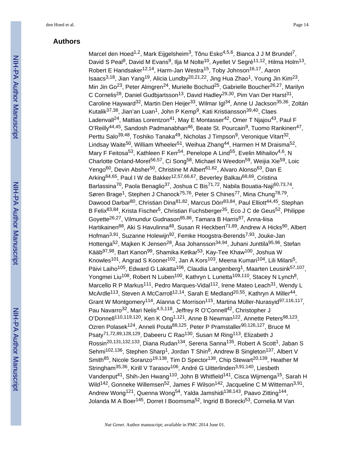# **Authors**

Marcel den Hoed<sup>1,2</sup>, Mark Eijgelsheim<sup>3</sup>, Tõnu Esko<sup>4,5,6</sup>, Bianca J J M Brundel<sup>7</sup>, David S Peal<sup>8</sup>, David M Evans<sup>9</sup>, Ilja M Nolte<sup>10</sup>, Ayellet V Segrè<sup>11,12</sup>, Hilma Holm<sup>13</sup>, Robert E Handsaker<sup>12,14</sup>, Harm-Jan Westra<sup>15</sup>, Toby Johnson<sup>16,17</sup>, Aaron Isaacs<sup>3,18</sup>, Jian Yang<sup>19</sup>, Alicia Lundby<sup>20,21,22</sup>, Jing Hua Zhao<sup>1</sup>, Young Jin Kim<sup>23</sup>, Min Jin Go<sup>23</sup>, Peter Almgren<sup>24</sup>, Murielle Bochud<sup>25</sup>, Gabrielle Boucher<sup>26,27</sup>, Marilyn C Cornelis<sup>28</sup>, Daniel Gudbjartsson<sup>13</sup>, David Hadley<sup>29,30</sup>, Pim Van Der Harst<sup>31</sup>, Caroline Hayward<sup>32</sup>, Martin Den Heijer<sup>33</sup>, Wilmar Igl<sup>34</sup>, Anne U Jackson<sup>35,36</sup>, Zoltán Kutalik<sup>37,38</sup>, Jian'an Luan<sup>1</sup>, John P Kemp<sup>9</sup>, Kati Kristiansson<sup>39,40</sup>, Claes Ladenvall<sup>24</sup>, Mattias Lorentzon<sup>41</sup>, May E Montasser<sup>42</sup>, Omer T Njajou<sup>43</sup>, Paul F O'Reilly<sup>44,45</sup>, Sandosh Padmanabhan<sup>46</sup>, Beate St. Pourcain<sup>9</sup>, Tuomo Rankinen<sup>47</sup>, Perttu Salo<sup>39,48</sup>, Toshiko Tanaka<sup>49</sup>, Nicholas J Timpson<sup>9</sup>, Veronique Vitart<sup>32</sup>, Lindsay Waite<sup>50</sup>, William Wheeler<sup>51</sup>, Weihua Zhang<sup>44</sup>, Harmen H M Draisma<sup>52</sup>, Mary F Feitosa<sup>53</sup>, Kathleen F Kerr<sup>54</sup>, Penelope A Lind<sup>55</sup>, Evelin Mihailov<sup>4,6</sup>, N Charlotte Onland-Moret56,57, Ci Song58, Michael N Weedon59, Weijia Xie59, Loic Yengo<sup>60</sup>, Devin Absher<sup>50</sup>, Christine M Albert<sup>61,62</sup>, Alvaro Alonso<sup>63</sup>, Dan E Arking<sup>64,65</sup>, Paul I W de Bakker<sup>12,57,66,67</sup>, Beverley Balkau<sup>68,69</sup>, Cristina Barlassina<sup>70</sup>, Paola Benaglio<sup>37</sup>, Joshua C Bis<sup>71,72</sup>, Nabila Bouatia-Naji<sup>60,73,74</sup>, Søren Brage<sup>1</sup>, Stephen J Chanock<sup>75,76</sup>, Peter S Chines<sup>77</sup>, Mina Chung<sup>78,79</sup>, Dawood Darbar<sup>80</sup>, Christian Dina<sup>81,82</sup>, Marcus Dörr<sup>83,84</sup>, Paul Elliott<sup>44,45</sup>, Stephan B Felix<sup>83,84</sup>, Krista Fischer<sup>5</sup>, Christian Fuchsberger<sup>35</sup>, Eco J C de Geus<sup>52</sup>, Philippe Goyette<sup>26,27</sup>, Vilmundur Gudnason<sup>85,86</sup>, Tamara B Harris<sup>87</sup>, Anna-liisa Hartikainen<sup>88</sup>, Aki S Havulinna<sup>48</sup>, Susan R Heckbert<sup>71,89</sup>, Andrew A Hicks<sup>90</sup>, Albert Hofman<sup>3,91</sup>, Suzanne Holewijn<sup>92</sup>, Femke Hoogstra-Berends<sup>7,93</sup>, Jouke-Jan Hottenga<sup>52</sup>, Majken K Jensen<sup>28</sup>, Åsa Johansson<sup>34,94</sup>, Juhani Junttila<sup>95,96</sup>, Stefan Kääb97,98, Bart Kanon99, Shamika Ketkar53, Kay-Tee Khaw100, Joshua W Knowles<sup>101</sup>, Angrad S Kooner<sup>102</sup>, Jan A Kors<sup>103</sup>, Meena Kumari<sup>104</sup>, Lili Milani<sup>5</sup>, Päivi Laiho<sup>105</sup>, Edward G Lakatta<sup>106</sup>, Claudia Langenberg<sup>1</sup>, Maarten Leusink<sup>57,107</sup>, Yongmei Liu<sup>108</sup>, Robert N Luben<sup>100</sup>, Kathryn L Lunetta<sup>109,110</sup>, Stacey N Lynch<sup>8</sup>, Marcello R P Markus<sup>111</sup>, Pedro Marques-Vidal<sup>112</sup>, Irene Mateo Leach<sup>31</sup>, Wendy L McArdle<sup>113</sup>, Steven A McCarroll<sup>12,14</sup>, Sarah E Medland<sup>20,55</sup>, Kathryn A Miller<sup>44</sup>, Grant W Montgomery<sup>114</sup>, Alanna C Morrison<sup>115</sup>, Martina Müller-Nurasyid<sup>97,116,117</sup>, Pau Navarro<sup>32</sup>, Mari Nelis<sup>4,5,118</sup>, Jeffrey R O'Connell<sup>42</sup>, Christopher J O'Donnell<sup>110,119,120</sup>, Ken K Ong<sup>1,121</sup>, Anne B Newman<sup>122</sup>, Annette Peters<sup>98,123</sup>, Ozren Polasek<sup>124</sup>, Anneli Pouta<sup>88,125</sup>, Peter P Pramstaller<sup>90,126,127</sup>, Bruce M Psaty<sup>71,72,89,128,129</sup>, Dabeeru C Rao<sup>130</sup>, Susan M Ring<sup>113</sup>, Elizabeth J Rossin<sup>20,131,132,133</sup>, Diana Rudan<sup>134</sup>, Serena Sanna<sup>135</sup>, Robert A Scott<sup>1</sup>, Jaban S Sehmi<sup>102,136</sup>, Stephen Sharp<sup>1</sup>, Jordan T Shin<sup>8</sup>, Andrew B Singleton<sup>137</sup>, Albert V Smith<sup>85</sup>, Nicole Soranzo<sup>19,138</sup>, Tim D Spector<sup>138</sup>, Chip Stewart<sup>20,139</sup>, Heather M Stringham<sup>35,36</sup>, Kirill V Tarasov<sup>106</sup>, André G Uitterlinden<sup>3,91,140</sup>, Liesbeth Vandenput<sup>41</sup>, Shih-Jen Hwang<sup>110</sup>, John B Whitfield<sup>141</sup>, Cisca Wijmenga<sup>15</sup>, Sarah H Wild<sup>142</sup>, Gonneke Willemsen<sup>52</sup>, James F Wilson<sup>142</sup>, Jacqueline C M Witteman<sup>3,91</sup>, Andrew Wong<sup>121</sup>, Quenna Wong<sup>54</sup>, Yalda Jamshidi<sup>138,143</sup>, Paavo Zitting<sup>144</sup>, Jolanda M A Boer<sup>145</sup>, Dorret I Boomsma<sup>52</sup>, Ingrid B Borecki<sup>53</sup>, Cornelia M Van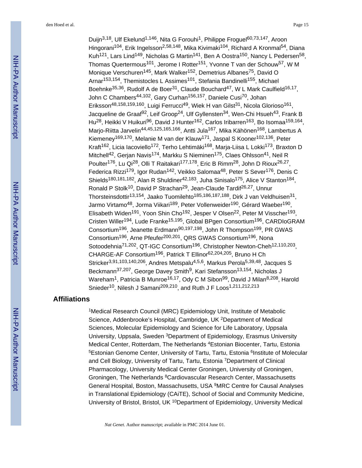Duijn<sup>3,18</sup>, Ulf Ekelund<sup>1,146</sup>, Nita G Forouhi<sup>1</sup>, Philippe Froguel<sup>60,73,147</sup>, Aroon Hingorani<sup>104</sup>, Erik Ingelsson<sup>2,58,148</sup>, Mika Kivimaki<sup>104</sup>, Richard A Kronmal<sup>54</sup>, Diana Kuh<sup>121</sup>, Lars Lind<sup>149</sup>, Nicholas G Martin<sup>141</sup>, Ben A Oostra<sup>150</sup>, Nancy L Pedersen<sup>58</sup>, Thomas Quertermous<sup>101</sup>, Jerome I Rotter<sup>151</sup>, Yvonne T van der Schouw<sup>57</sup>, W M Monique Verschuren<sup>145</sup>, Mark Walker<sup>152</sup>, Demetrius Albanes<sup>75</sup>, David O Arnar<sup>153,154</sup>, Themistocles L Assimes<sup>101</sup>, Stefania Bandinelli<sup>155</sup>, Michael Boehnke<sup>35,36</sup>, Rudolf A de Boer<sup>31</sup>, Claude Bouchard<sup>47</sup>, W L Mark Caulfield<sup>16,17</sup>. John C Chambers<sup>44,102</sup>, Gary Curhan<sup>156,157</sup>, Daniele Cusi<sup>70</sup>, Johan Eriksson<sup>48,158,159,160</sup>, Luigi Ferrucci<sup>49</sup>, Wiek H van Gilst<sup>31</sup>, Nicola Glorioso<sup>161</sup>, Jacqueline de Graaf<sup>92</sup>, Leif Groop<sup>24</sup>, Ulf Gyllensten<sup>34</sup>, Wen-Chi Hsueh<sup>43</sup>, Frank B Hu<sup>28</sup>, Heikki V Huikuri<sup>96</sup>, David J Hunter<sup>162</sup>, Carlos Iribarren<sup>163</sup>, Bo Isomaa<sup>159,164</sup>, Marjo-Riitta Jarvelin<sup>44,45,125,165,166</sup>, Antti Jula<sup>167</sup>, Mika Kähönen<sup>168</sup>, Lambertus A Kiemeney<sup>169,170</sup>, Melanie M van der Klauw<sup>171</sup>, Jaspal S Kooner<sup>102,136</sup>, Peter Kraft<sup>162</sup>, Licia Iacoviello<sup>172</sup>, Terho Lehtimäki<sup>168</sup>, Marja-Liisa L Lokki<sup>173</sup>, Braxton D Mitchell<sup>42</sup>, Gerjan Navis<sup>174</sup>, Markku S Nieminen<sup>175</sup>, Claes Ohlsson<sup>41</sup>, Neil R Poulter<sup>176</sup>, Lu Qi<sup>28</sup>, Olli T Raitakari<sup>177,178</sup>, Eric B Rimm<sup>28</sup>, John D Rioux<sup>26,27</sup>, Federica Rizzi<sup>179</sup>, Igor Rudan<sup>142</sup>, Veikko Salomaa<sup>48</sup>, Peter S Sever<sup>176</sup>, Denis C Shields<sup>180,181,182</sup>, Alan R Shuldiner<sup>42,183</sup>, Juha Sinisalo<sup>175</sup>, Alice V Stanton<sup>184</sup>, Ronald P Stolk<sup>10</sup>, David P Strachan<sup>29</sup>, Jean-Claude Tardif<sup>26,27</sup>, Unnur Thorsteinsdottir<sup>13,154</sup>, Jaako Tuomilehto<sup>185,186,187,188</sup>, Dirk J van Veldhuisen<sup>31</sup>, Jarmo Virtamo<sup>48</sup>, Jorma Viikari<sup>189</sup>, Peter Vollenweider<sup>190</sup>, Gérard Waeber<sup>190</sup>, Elisabeth Widen<sup>191</sup>, Yoon Shin Cho<sup>192</sup>, Jesper V Olsen<sup>22</sup>, Peter M Visscher<sup>193</sup>, Cristen Willer194, Lude Franke15,195, Global BPgen Consortium196, CARDIoGRAM Consortium196, Jeanette Erdmann90,197,198, John R Thompson199, PR GWAS Consortium196, Arne Pfeufer200,201, QRS GWAS Consortium196, Nona Sotoodehnia<sup>71,202</sup>, QT-IGC Consortium<sup>196</sup>, Christopher Newton-Cheh<sup>12,110,203</sup>, CHARGE-AF Consortium196, Patrick T Ellinor62,204,205, Bruno H Ch Stricker<sup>3,91,103,140,206</sup>, Andres Metspalu<sup>4,5,6</sup>, Markus Perola<sup>5,39,48</sup>, Jacques S Beckmann<sup>37,207</sup>, George Davey Smith<sup>9</sup>, Kari Stefansson<sup>13,154</sup>, Nicholas J Wareham<sup>1</sup>, Patricia B Munroe<sup>16,17</sup>, Ody C M Sibon<sup>99</sup>, David J Milan<sup>8,208</sup>, Harold Snieder<sup>10</sup>, Nilesh J Samani<sup>209,210</sup>, and Ruth J F Loos<sup>1,211,212,213</sup>

# **Affiliations**

<sup>1</sup>Medical Research Council (MRC) Epidemiology Unit, Institute of Metabolic Science, Addenbrooke's Hospital, Cambridge, UK <sup>2</sup>Department of Medical Sciences, Molecular Epidemiology and Science for Life Laboratory, Uppsala University, Uppsala, Sweden <sup>3</sup>Department of Epidemiology, Erasmus University Medical Center, Rotterdam, The Netherlands <sup>4</sup>Estonian Biocenter, Tartu, Estonia <sup>5</sup>Estonian Genome Center, University of Tartu, Tartu, Estonia <sup>6</sup>Institute of Molecular and Cell Biology, University of Tartu, Tartu, Estonia <sup>7</sup>Department of Clinical Pharmacology, University Medical Center Groningen, University of Groningen, Groningen, The Netherlands <sup>8</sup>Cardiovascular Research Center, Massachusetts General Hospital, Boston, Massachusetts, USA <sup>9</sup>MRC Centre for Causal Analyses in Translational Epidemiology (CAiTE), School of Social and Community Medicine, University of Bristol, Bristol, UK<sup>10</sup>Department of Epidemiology, University Medical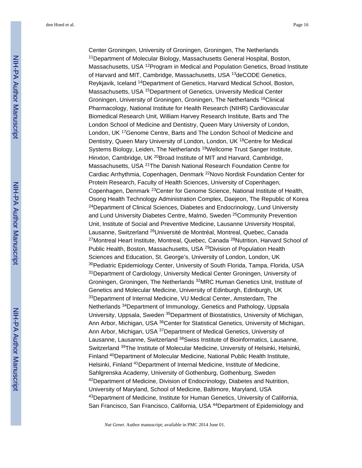Center Groningen, University of Groningen, Groningen, The Netherlands <sup>11</sup>Department of Molecular Biology, Massachusetts General Hospital, Boston, Massachusetts, USA <sup>12</sup>Program in Medical and Population Genetics, Broad Institute of Harvard and MIT, Cambridge, Massachusetts, USA <sup>13</sup>deCODE Genetics, Reykjavik, Iceland <sup>14</sup>Department of Genetics, Harvard Medical School, Boston, Massachusetts, USA <sup>15</sup>Department of Genetics, University Medical Center Groningen, University of Groningen, Groningen, The Netherlands <sup>16</sup>Clinical Pharmacology, National Institute for Health Research (NIHR) Cardiovascular Biomedical Research Unit, William Harvey Research Institute, Barts and The London School of Medicine and Dentistry, Queen Mary University of London, London, UK <sup>17</sup>Genome Centre, Barts and The London School of Medicine and Dentistry, Queen Mary University of London, London, UK <sup>18</sup>Centre for Medical Systems Biology, Leiden, The Netherlands <sup>19</sup>Wellcome Trust Sanger Institute, Hinxton, Cambridge, UK<sup>20</sup>Broad Institute of MIT and Harvard, Cambridge, Massachusetts, USA 21The Danish National Research Foundation Centre for Cardiac Arrhythmia, Copenhagen, Denmark <sup>22</sup>Novo Nordisk Foundation Center for Protein Research, Faculty of Health Sciences, University of Copenhagen, Copenhagen, Denmark <sup>23</sup>Center for Genome Science, National Institute of Health, Osong Health Technology Administration Complex, Daejeon, The Republic of Korea <sup>24</sup>Department of Clinical Sciences, Diabetes and Endocrinology, Lund University and Lund University Diabetes Centre, Malmö, Sweden <sup>25</sup>Community Prevention Unit, Institute of Social and Preventive Medicine, Lausanne University Hospital, Lausanne, Switzerland <sup>26</sup>Université de Montréal, Montreal, Quebec, Canada <sup>27</sup>Montreal Heart Institute, Montreal, Quebec, Canada<sup>28</sup>Nutrition, Harvard School of Public Health, Boston, Massachusetts, USA <sup>29</sup>Division of Population Health Sciences and Education, St. George's, University of London, London, UK <sup>30</sup>Pediatric Epidemiology Center, University of South Florida, Tampa, Florida, USA <sup>31</sup>Department of Cardiology, University Medical Center Groningen, University of Groningen, Groningen, The Netherlands <sup>32</sup>MRC Human Genetics Unit, Institute of Genetics and Molecular Medicine, University of Edinburgh, Edinburgh, UK <sup>33</sup>Department of Internal Medicine, VU Medical Center, Amsterdam, The Netherlands <sup>34</sup>Department of Immunology, Genetics and Pathology, Uppsala University, Uppsala, Sweden 35Department of Biostatistics, University of Michigan, Ann Arbor, Michigan, USA <sup>36</sup>Center for Statistical Genetics, University of Michigan, Ann Arbor, Michigan, USA <sup>37</sup>Department of Medical Genetics, University of Lausanne, Lausanne, Switzerland <sup>38</sup>Swiss Institute of Bioinformatics, Lausanne, Switzerland <sup>39</sup>The Institute of Molecular Medicine, University of Helsinki, Helsinki, Finland <sup>40</sup>Department of Molecular Medicine, National Public Health Institute, Helsinki, Finland <sup>41</sup>Department of Internal Medicine, Institute of Medicine, Sahlgrenska Academy, University of Gothenburg, Gothenburg, Sweden <sup>42</sup>Department of Medicine, Division of Endocrinology, Diabetes and Nutrition, University of Maryland, School of Medicine, Baltimore, Maryland, USA <sup>43</sup>Department of Medicine, Institute for Human Genetics, University of California, San Francisco, San Francisco, California, USA <sup>44</sup>Department of Epidemiology and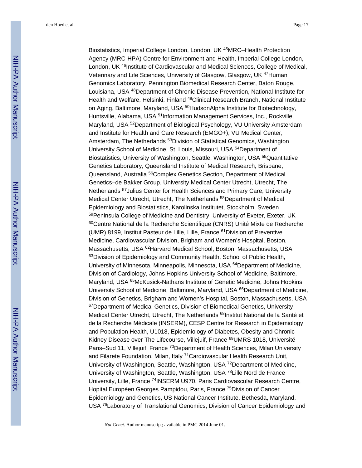Biostatistics, Imperial College London, London, UK <sup>45</sup>MRC–Health Protection Agency (MRC-HPA) Centre for Environment and Health, Imperial College London, London, UK <sup>46</sup>Institute of Cardiovascular and Medical Sciences, College of Medical, Veterinary and Life Sciences, University of Glasgow, Glasgow, UK <sup>47</sup>Human Genomics Laboratory, Pennington Biomedical Research Center, Baton Rouge, Louisiana, USA <sup>48</sup>Department of Chronic Disease Prevention, National Institute for Health and Welfare, Helsinki, Finland <sup>49</sup>Clinical Research Branch, National Institute on Aging, Baltimore, Maryland, USA <sup>50</sup>HudsonAlpha Institute for Biotechnology, Huntsville, Alabama, USA <sup>51</sup>Information Management Services, Inc., Rockville, Maryland, USA <sup>52</sup>Department of Biological Psychology, VU University Amsterdam and Institute for Health and Care Research (EMGO+), VU Medical Center, Amsterdam, The Netherlands <sup>53</sup>Division of Statistical Genomics, Washington University School of Medicine, St. Louis, Missouri, USA <sup>54</sup>Department of Biostatistics, University of Washington, Seattle, Washington, USA <sup>55</sup>Quantitative Genetics Laboratory, Queensland Institute of Medical Research, Brisbane, Queensland, Australia <sup>56</sup>Complex Genetics Section, Department of Medical Genetics–de Bakker Group, University Medical Center Utrecht, Utrecht, The Netherlands <sup>57</sup>Julius Center for Health Sciences and Primary Care, University Medical Center Utrecht, Utrecht, The Netherlands <sup>58</sup>Department of Medical Epidemiology and Biostatistics, Karolinska Institutet, Stockholm, Sweden <sup>59</sup>Peninsula College of Medicine and Dentistry, University of Exeter, Exeter, UK <sup>60</sup>Centre National de la Recherche Scientifique (CNRS) Unité Mixte de Recherche (UMR) 8199, Institut Pasteur de Lille, Lille, France <sup>61</sup>Division of Preventive Medicine, Cardiovascular Division, Brigham and Women's Hospital, Boston, Massachusetts, USA <sup>62</sup>Harvard Medical School, Boston, Massachusetts, USA 63Division of Epidemiology and Community Health, School of Public Health, University of Minnesota, Minneapolis, Minnesota, USA <sup>64</sup>Department of Medicine, Division of Cardiology, Johns Hopkins University School of Medicine, Baltimore, Maryland, USA <sup>65</sup>McKusick-Nathans Institute of Genetic Medicine, Johns Hopkins University School of Medicine, Baltimore, Maryland, USA <sup>66</sup>Department of Medicine, Division of Genetics, Brigham and Women's Hospital, Boston, Massachusetts, USA <sup>67</sup>Department of Medical Genetics, Division of Biomedical Genetics, University Medical Center Utrecht, Utrecht, The Netherlands <sup>68</sup>Institut National de la Santé et de la Recherche Médicale (INSERM), CESP Centre for Research in Epidemiology and Population Health, U1018, Epidemiology of Diabetes, Obesity and Chronic Kidney Disease over The Lifecourse, Villejuif, France <sup>69</sup>UMRS 1018, Université Paris–Sud 11, Villejuif, France <sup>70</sup>Department of Health Sciences, Milan University and Filarete Foundation, Milan, Italy <sup>71</sup> Cardiovascular Health Research Unit, University of Washington, Seattle, Washington, USA <sup>72</sup>Department of Medicine, University of Washington, Seattle, Washington, USA <sup>73</sup>Lille Nord de France University, Lille, France <sup>74</sup>INSERM U970, Paris Cardiovascular Research Centre, Hopital Européen Georges Pampidou, Paris, France <sup>75</sup>Division of Cancer Epidemiology and Genetics, US National Cancer Institute, Bethesda, Maryland, USA <sup>76</sup>Laboratory of Translational Genomics, Division of Cancer Epidemiology and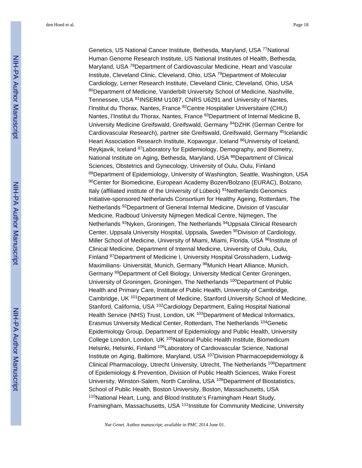Genetics, US National Cancer Institute, Bethesda, Maryland, USA <sup>77</sup>National Human Genome Research Institute, US National Institutes of Health, Bethesda, Maryland, USA <sup>78</sup>Department of Cardiovascular Medicine, Heart and Vascular Institute, Cleveland Clinic, Cleveland, Ohio, USA <sup>79</sup>Department of Molecular Cardiology, Lerner Research Institute, Cleveland Clinic, Cleveland, Ohio, USA <sup>80</sup>Department of Medicine, Vanderbilt University School of Medicine, Nashville, Tennessee, USA <sup>81</sup>INSERM U1087, CNRS U6291 and University of Nantes, l'Institut du Thorax, Nantes, France <sup>82</sup>Centre Hospitalier Universitaire (CHU) Nantes, l'Institut du Thorax, Nantes, France <sup>83</sup>Department of Internal Medicine B, University Medicine Greifswald, Greifswald, Germany <sup>84</sup>DZHK (German Centre for Cardiovascular Research), partner site Greifswald, Greifswald, Germany <sup>85</sup>Icelandic Heart Association Research Institute, Kopavogur, Iceland <sup>86</sup>University of Iceland, Reykjavik, Iceland <sup>87</sup>Laboratory for Epidemiology, Demography, and Biometry, National Institute on Aging, Bethesda, Maryland, USA <sup>88</sup>Department of Clinical Sciences, Obstetrics and Gynecology, University of Oulu, Oulu, Finland 89Department of Epidemiology, University of Washington, Seattle, Washington, USA 90Center for Biomedicine, European Academy Bozen/Bolzano (EURAC), Bolzano, Italy (affiliated institute of the University of Lübeck) <sup>91</sup>Netherlands Genomics Initiative-sponsored Netherlands Consortium for Healthy Ageing, Rotterdam, The Netherlands <sup>92</sup>Department of General Internal Medicine, Division of Vascular Medicine, Radboud University Nijmegen Medical Centre, Nijmegen, The Netherlands <sup>93</sup>Nyken, Groningen, The Netherlands <sup>94</sup>Uppsala Clinical Research Center, Uppsala University Hospital, Uppsala, Sweden <sup>95</sup>Division of Cardiology, Miller School of Medicine, University of Miami, Miami, Florida, USA <sup>96</sup>Institute of Clinical Medicine, Department of Internal Medicine, University of Oulu, Oulu, Finland 97Department of Medicine I, University Hospital Grosshadern, Ludwig-Maximilians- Universität, Munich, Germany <sup>98</sup>Munich Heart Alliance, Munich, Germany <sup>99</sup>Department of Cell Biology, University Medical Center Groningen, University of Groningen, Groningen, The Netherlands <sup>100</sup>Department of Public Health and Primary Care, Institute of Public Health, University of Cambridge, Cambridge, UK <sup>101</sup>Department of Medicine, Stanford University School of Medicine, Stanford, California, USA <sup>102</sup>Cardiology Department, Ealing Hospital National Health Service (NHS) Trust, London, UK<sup>103</sup>Department of Medical Informatics, Erasmus University Medical Center, Rotterdam, The Netherlands <sup>104</sup>Genetic Epidemiology Group, Department of Epidemiology and Public Health, University College London, London, UK <sup>105</sup>National Public Health Institute, Biomedicum Helsinki, Helsinki, Finland <sup>106</sup>Laboratory of Cardiovascular Science, National Institute on Aging, Baltimore, Maryland, USA <sup>107</sup>Division Pharmacoepidemiology & Clinical Pharmacology, Utrecht University, Utrecht, The Netherlands <sup>108</sup>Department of Epidemiology & Prevention, Division of Public Health Sciences, Wake Forest University, Winston-Salem, North Carolina, USA <sup>109</sup>Department of Biostatistics, School of Public Health, Boston University, Boston, Massachusetts, USA <sup>110</sup>National Heart, Lung, and Blood Institute's Framingham Heart Study, Framingham, Massachusetts, USA <sup>111</sup>Institute for Community Medicine, University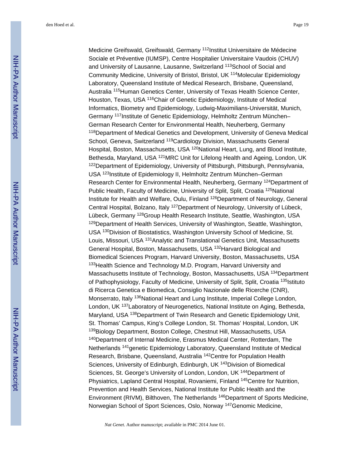Medicine Greifswald, Greifswald, Germany <sup>112</sup>Institut Universitaire de Médecine Sociale et Préventive (IUMSP), Centre Hospitalier Universitaire Vaudois (CHUV) and University of Lausanne, Lausanne, Switzerland <sup>113</sup>School of Social and Community Medicine, University of Bristol, Bristol, UK <sup>114</sup>Molecular Epidemiology Laboratory, Queensland Institute of Medical Research, Brisbane, Queensland, Australia <sup>115</sup>Human Genetics Center, University of Texas Health Science Center, Houston, Texas, USA <sup>116</sup>Chair of Genetic Epidemiology, Institute of Medical Informatics, Biometry and Epidemiology, Ludwig-Maximilians-Universität, Munich, Germany <sup>117</sup>Institute of Genetic Epidemiology, Helmholtz Zentrum München– German Research Center for Environmental Health, Neuherberg, Germany <sup>118</sup>Department of Medical Genetics and Development, University of Geneva Medical School, Geneva, Switzerland <sup>119</sup>Cardiology Division, Massachusetts General Hospital, Boston, Massachusetts, USA <sup>120</sup>National Heart, Lung, and Blood Institute, Bethesda, Maryland, USA <sup>121</sup>MRC Unit for Lifelong Health and Ageing, London, UK <sup>122</sup>Department of Epidemiology, University of Pittsburgh, Pittsburgh, Pennsylvania, USA <sup>123</sup>Institute of Epidemiology II, Helmholtz Zentrum München–German Research Center for Environmental Health, Neuherberg, Germany <sup>124</sup>Department of Public Health, Faculty of Medicine, University of Split, Split, Croatia <sup>125</sup>National Institute for Health and Welfare, Oulu, Finland <sup>126</sup>Department of Neurology, General Central Hospital, Bolzano, Italy <sup>127</sup>Department of Neurology, University of Lübeck, Lübeck, Germany <sup>128</sup>Group Health Research Institute, Seattle, Washington, USA <sup>129</sup>Department of Health Services, University of Washington, Seattle, Washington, USA <sup>130</sup>Division of Biostatistics, Washington University School of Medicine, St. Louis, Missouri, USA <sup>131</sup>Analytic and Translational Genetics Unit, Massachusetts General Hospital, Boston, Massachusetts, USA <sup>132</sup>Harvard Biological and Biomedical Sciences Program, Harvard University, Boston, Massachusetts, USA <sup>133</sup>Health Science and Technology M.D. Program, Harvard University and Massachusetts Institute of Technology, Boston, Massachusetts, USA <sup>134</sup>Department of Pathophysiology, Faculty of Medicine, University of Split, Split, Croatia<sup>135</sup>Istituto di Ricerca Genetica e Biomedica, Consiglio Nazionale delle Ricerche (CNR), Monserrato, Italy <sup>136</sup>National Heart and Lung Institute, Imperial College London, London, UK <sup>137</sup>Laboratory of Neurogenetics, National Institute on Aging, Bethesda, Maryland, USA 138Department of Twin Research and Genetic Epidemiology Unit, St. Thomas' Campus, King's College London, St. Thomas' Hospital, London, UK <sup>139</sup>Biology Department, Boston College, Chestnut Hill, Massachusetts, USA <sup>140</sup>Department of Internal Medicine, Erasmus Medical Center, Rotterdam, The Netherlands <sup>141</sup>genetic Epidemiology Laboratory, Queensland Institute of Medical Research, Brisbane, Queensland, Australia <sup>142</sup>Centre for Population Health Sciences, University of Edinburgh, Edinburgh, UK <sup>143</sup>Division of Biomedical Sciences, St. George's University of London, London, UK <sup>144</sup>Department of Physiatrics, Lapland Central Hospital, Rovaniemi, Finland <sup>145</sup>Centre for Nutrition, Prevention and Health Services, National Institute for Public Health and the Environment (RIVM), Bilthoven, The Netherlands <sup>146</sup>Department of Sports Medicine, Norwegian School of Sport Sciences, Oslo, Norway <sup>147</sup>Genomic Medicine,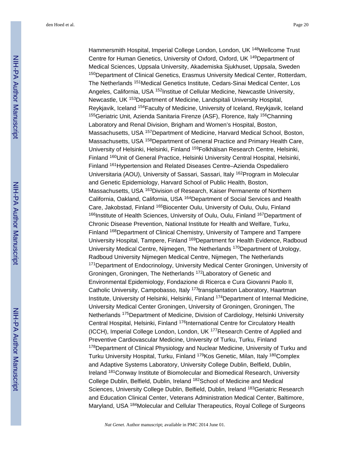Hammersmith Hospital, Imperial College London, London, UK <sup>148</sup>Wellcome Trust Centre for Human Genetics, University of Oxford, Oxford, UK <sup>149</sup>Department of Medical Sciences, Uppsala University, Akademiska Sjukhuset, Uppsala, Sweden <sup>150</sup>Department of Clinical Genetics, Erasmus University Medical Center, Rotterdam, The Netherlands <sup>151</sup>Medical Genetics Institute, Cedars-Sinai Medical Center, Los Angeles, California, USA <sup>152</sup>Institue of Cellular Medicine, Newcastle University, Newcastle, UK <sup>153</sup>Department of Medicine, Landspitali University Hospital, Reykjavik, Iceland <sup>154</sup>Faculty of Medicine, University of Iceland, Reykjavik, Iceland <sup>155</sup>Geriatric Unit, Azienda Sanitaria Firenze (ASF), Florence, Italy <sup>156</sup>Channing Laboratory and Renal Division, Brigham and Women's Hospital, Boston, Massachusetts, USA <sup>157</sup>Department of Medicine, Harvard Medical School, Boston, Massachusetts, USA <sup>158</sup>Department of General Practice and Primary Health Care, University of Helsinki, Helsinki, Finland <sup>159</sup>Folkhälsan Research Centre, Helsinki, Finland <sup>160</sup>Unit of General Practice, Helsinki University Central Hospital, Helsinki, Finland 161Hypertension and Related Diseases Centre–Azienda Ospedaliero Universitaria (AOU), University of Sassari, Sassari, Italy <sup>162</sup>Program in Molecular and Genetic Epidemiology, Harvard School of Public Health, Boston, Massachusetts, USA <sup>163</sup>Division of Research, Kaiser Permanente of Northern California, Oakland, California, USA <sup>164</sup>Department of Social Services and Health Care, Jakobstad, Finland <sup>165</sup>Biocenter Oulu, University of Oulu, Oulu, Finland <sup>166</sup>Institute of Health Sciences, University of Oulu, Oulu, Finland <sup>167</sup>Department of Chronic Disease Prevention, National Institute for Health and Welfare, Turku, Finland <sup>168</sup>Department of Clinical Chemistry, University of Tampere and Tampere University Hospital, Tampere, Finland <sup>169</sup>Department for Health Evidence, Radboud University Medical Centre, Nijmegen, The Netherlands <sup>170</sup>Department of Urology, Radboud University Nijmegen Medical Centre, Nijmegen, The Netherlands <sup>171</sup>Department of Endocrinology, University Medical Center Groningen, University of Groningen, Groningen, The Netherlands <sup>172</sup>Laboratory of Genetic and Environmental Epidemiology, Fondazione di Ricerca e Cura Giovanni Paolo II, Catholic University, Campobasso, Italy <sup>173</sup>transplantation Laboratory, Haartman Institute, University of Helsinki, Helsinki, Finland <sup>174</sup>Department of Internal Medicine, University Medical Center Groningen, University of Groningen, Groningen, The Netherlands 175Department of Medicine, Division of Cardiology, Helsinki University Central Hospital, Helsinki, Finland <sup>176</sup>International Centre for Circulatory Health (ICCH), Imperial College London, London, UK <sup>177</sup>Research Centre of Applied and Preventive Cardiovascular Medicine, University of Turku, Turku, Finland <sup>178</sup>Department of Clinical Physiology and Nuclear Medicine, University of Turku and Turku University Hospital, Turku, Finland <sup>179</sup>Kos Genetic, Milan, Italy <sup>180</sup>Complex and Adaptive Systems Laboratory, University College Dublin, Belfield, Dublin, Ireland <sup>181</sup>Conway Institute of Biomolecular and Biomedical Research, University College Dublin, Belfield, Dublin, Ireland <sup>182</sup>School of Medicine and Medical Sciences, University College Dublin, Belfield, Dublin, Ireland <sup>183</sup>Geriatric Research and Education Clinical Center, Veterans Administration Medical Center, Baltimore, Maryland, USA <sup>184</sup>Molecular and Cellular Therapeutics, Royal College of Surgeons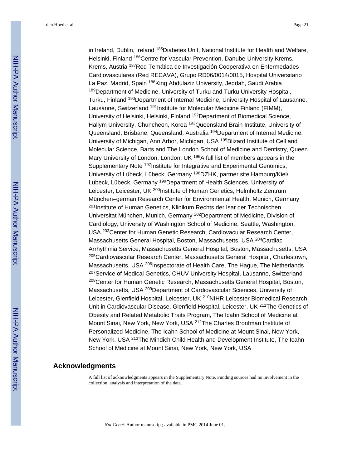in Ireland, Dublin, Ireland <sup>185</sup>Diabetes Unit, National Institute for Health and Welfare, Helsinki, Finland <sup>186</sup>Centre for Vascular Prevention, Danube-University Krems, Krems, Austria <sup>187</sup>Red Temática de Investigación Cooperativa en Enfermedades Cardiovasculares (Red RECAVA), Grupo RD06/0014/0015, Hospital Universitario La Paz, Madrid, Spain <sup>188</sup>King Abdulaziz University, Jeddah, Saudi Arabia <sup>189</sup>Department of Medicine, University of Turku and Turku University Hospital, Turku, Finland <sup>190</sup>Department of Internal Medicine, University Hospital of Lausanne, Lausanne, Switzerland <sup>191</sup>Institute for Molecular Medicine Finland (FIMM), University of Helsinki, Helsinki, Finland <sup>192</sup>Department of Biomedical Science, Hallym University, Chuncheon, Korea <sup>193</sup>Queensland Brain Institute, University of Queensland, Brisbane, Queensland, Australia <sup>194</sup>Department of Internal Medicine, University of Michigan, Ann Arbor, Michigan, USA <sup>195</sup>Blizard Institute of Cell and Molecular Science, Barts and The London School of Medicine and Dentistry, Queen Mary University of London, London, UK <sup>196</sup>A full list of members appears in the Supplementary Note <sup>197</sup>Institute for Integrative and Experimental Genomics, University of Lübeck, Lübeck, Germany <sup>198</sup>DZHK, partner site Hamburg/Kiel/ Lübeck, Lübeck, Germany <sup>199</sup>Department of Health Sciences, University of Leicester, Leicester, UK<sup>200</sup>Institute of Human Genetics, Helmholtz Zentrum München–german Research Center for Environmental Health, Munich, Germany <sup>201</sup>Institute of Human Genetics, Klinikum Rechts der Isar der Technischen Universitat München, Munich, Germany <sup>202</sup>Department of Medicine, Division of Cardiology, University of Washington School of Medicine, Seattle, Washington, USA <sup>203</sup>Center for Human Genetic Research, Cardiovacular Research Center, Massachusetts General Hospital, Boston, Massachusetts, USA <sup>204</sup>Cardiac Arrhythmia Service, Massachusetts General Hospital, Boston, Massachusetts, USA <sup>205</sup>Cardiovascular Research Center, Massachusetts General Hospital, Charlestown, Massachusetts, USA <sup>206</sup>Inspectorate of Health Care, The Hague, The Netherlands <sup>207</sup>Service of Medical Genetics, CHUV University Hospital, Lausanne, Switzerland <sup>208</sup>Center for Human Genetic Research, Massachusetts General Hospital, Boston, Massachusetts, USA <sup>209</sup>Department of Cardiovascular Sciences, University of Leicester, Glenfield Hospital, Leicester, UK<sup>210</sup>NIHR Leicester Biomedical Research Unit in Cardiovascular Disease, Glenfield Hospital, Leicester, UK <sup>211</sup>The Genetics of Obesity and Related Metabolic Traits Program, The Icahn School of Medicine at Mount Sinai, New York, New York, USA <sup>212</sup>The Charles Bronfman Institute of Personalized Medicine, The Icahn School of Medicine at Mount Sinai, New York, New York, USA <sup>213</sup>The Mindich Child Health and Development Institute, The Icahn School of Medicine at Mount Sinai, New York, New York, USA

# **Acknowledgments**

A full list of acknowledgments appears in the Supplementary Note. Funding sources had no involvement in the collection, analysis and interpretation of the data.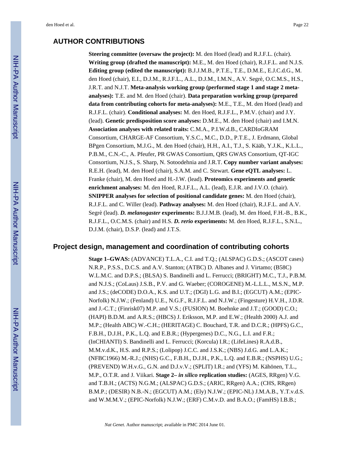# **AUTHOR CONTRIBUTIONS**

**Steering committee (oversaw the project):** M. den Hoed (lead) and R.J.F.L. (chair). **Writing group (drafted the manuscript):** M.E., M. den Hoed (chair), R.J.F.L. and N.J.S. **Editing group (edited the manuscript):** B.J.J.M.B., P.T.E., T.E., D.M.E., E.J.C.d.G., M. den Hoed (chair), E.I., D.J.M., R.J.F.L., A.L., D.J.M., I.M.N., A.V. Segrè, O.C.M.S., H.S., J.R.T. and N.J.T. **Meta-analysis working group (performed stage 1 and stage 2 metaanalyses):** T.E. and M. den Hoed (chair). **Data preparation working group (prepared data from contributing cohorts for meta-analyses):** M.E., T.E., M. den Hoed (lead) and R.J.F.L. (chair). **Conditional analyses:** M. den Hoed, R.J.F.L., P.M.V. (chair) and J.Y. (lead). **Genetic predisposition score analyses:** D.M.E., M. den Hoed (chair) and I.M.N. **Association analyses with related traits:** C.M.A., P.I.W.d.B., CARDIoGRAM Consortium, CHARGE-AF Consortium, Y.S.C., M.C., D.D., P.T.E., J. Erdmann, Global BPgen Consortium, M.J.G., M. den Hoed (chair), H.H., A.I., T.J., S. Kääb, Y.J.K., K.L.L., P.B.M., C.N.-C., A. Pfeufer, PR GWAS Consortium, QRS GWAS Consortium, QT-IGC Consortium, N.J.S., S. Sharp, N. Sotoodehnia and J.R.T. **Copy number variant analyses:** R.E.H. (lead), M. den Hoed (chair), S.A.M. and C. Stewart. **Gene eQTL analyses:** L. Franke (chair), M. den Hoed and H.-J.W. (lead). **Proteomics experiments and genetic enrichment analyses:** M. den Hoed, R.J.F.L., A.L. (lead), E.J.R. and J.V.O. (chair). **SNIPPER analyses for selection of positional candidate genes:** M. den Hoed (chair), R.J.F.L. and C. Willer (lead). **Pathway analyses:** M. den Hoed (chair), R.J.F.L. and A.V. Segrè (lead). *D. melanogaster* **experiments:** B.J.J.M.B. (lead), M. den Hoed, F.H.-B., B.K., R.J.F.L., O.C.M.S. (chair) and H.S. *D. rerio* **experiments:** M. den Hoed, R.J.F.L., S.N.L., D.J.M. (chair), D.S.P. (lead) and J.T.S.

#### **Project design, management and coordination of contributing cohorts**

**Stage 1–GWAS:** (ADVANCE) T.L.A., C.I. and T.Q.; (ALSPAC) G.D.S.; (ASCOT cases) N.R.P., P.S.S., D.C.S. and A.V. Stanton; (ATBC) D. Albanes and J. Virtamo; (B58C) W.L.M.C. and D.P.S.; (BLSA) S. Bandinelli and L. Ferrucci; (BRIGHT) M.C., T.J., P.B.M. and N.J.S.; (CoLaus) J.S.B., P.V. and G. Waeber; (COROGENE) M.-L.L.L., M.S.N., M.P. and J.S.; (deCODE) D.O.A., K.S. and U.T.; (DGI) L.G. and B.I.; (EGCUT) A.M.; (EPIC-Norfolk) N.J.W.; (Fenland) U.E., N.G.F., R.J.F.L. and N.J.W.; (Fingesture) H.V.H., J.D.R. and J.-C.T.; (Finrisk07) M.P. and V.S.; (FUSION) M. Boehnke and J.T.; (GOOD) C.O.; (HAPI) B.D.M. and A.R.S.; (HBCS) J. Eriksson, M.P. and E.W.; (Health 2000) A.J. and M.P.; (Health ABC) W.-C.H.; (HERITAGE) C. Bouchard, T.R. and D.C.R.; (HPFS) G.C., F.B.H., D.J.H., P.K., L.Q. and E.B.R.; (Hypergenes) D.C., N.G., L.I. and F.R.; (InCHIANTI) S. Bandinelli and L. Ferrucci; (Korcula) I.R.; (LifeLines) R.A.d.B., M.M.v.d.K., H.S. and R.P.S.; (Lolipop) J.C.C. and J.S.K.; (NBS) J.d.G. and L.A.K.; (NFBC1966) M.-R.J.; (NHS) G.C., F.B.H., D.J.H., P.K., L.Q. and E.B.R.; (NSPHS) U.G.; (PREVEND) W.H.v.G., G.N. and D.J.v.V.; (SPLIT) I.R.; and (YFS) M. Kähönen, T.L., M.P., O.T.R. and J. Viikari. **Stage 2–** *in silico* **replication studies:** (AGES, RRgen) V.G. and T.B.H.; (ACTS) N.G.M.; (ALSPAC) G.D.S.; (ARIC, RRgen) A.A.; (CHS, RRgen) B.M.P.; (DESIR) N.B.-N.; (EGCUT) A.M.; (Ely) N.J.W.; (EPIC-NL) J.M.A.B., Y.T.v.d.S. and W.M.M.V.; (EPIC-Norfolk) N.J.W.; (ERF) C.M.v.D. and B.A.O.; (FamHS) I.B.B.;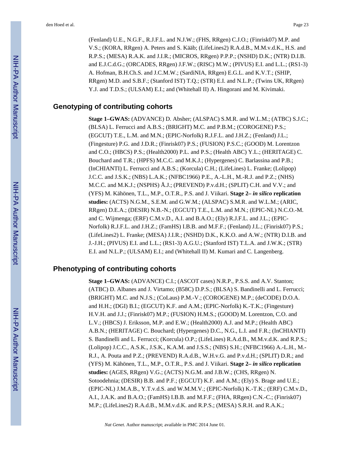(Fenland) U.E., N.G.F., R.J.F.L. and N.J.W.; (FHS, RRgen) C.J.O.; (Finrisk07) M.P. and V.S.; (KORA, RRgen) A. Peters and S. Kääb; (LifeLines2) R.A.d.B., M.M.v.d.K., H.S. and R.P.S.; (MESA) R.A.K. and J.I.R.; (MICROS, RRgen) P.P.P.; (NSHD) D.K.; (NTR) D.I.B. and E.J.C.d.G.; (ORCADES, RRgen) J.F.W.; (RISC) M.W.; (PIVUS) E.I. and L.L.; (RS1-3) A. Hofman, B.H.Ch.S. and J.C.M.W.; (SardiNIA, RRgen) E.G.L. and K.V.T.; (SHIP, RRgen) M.D. and S.B.F.; (Stanford IST) T.Q.; (STR) E.I. and N.L.P.; (Twins UK, RRgen) Y.J. and T.D.S.; (ULSAM) E.I.; and (Whitehall II) A. Hingorani and M. Kivimaki.

## **Genotyping of contributing cohorts**

**Stage 1–GWAS:** (ADVANCE) D. Absher; (ALSPAC) S.M.R. and W.L.M.; (ATBC) S.J.C.; (BLSA) L. Ferrucci and A.B.S.; (BRIGHT) M.C. and P.B.M.; (COROGENE) P.S.; (EGCUT) T.E., L.M. and M.N.; (EPIC-Norfolk) R.J.F.L. and J.H.Z.; (Fenland) J.L.; (Fingesture) P.G. and J.D.R.; (Finrisk07) P.S.; (FUSION) P.S.C.; (GOOD) M. Lorentzon and C.O.; (HBCS) P.S.; (Health2000) P.L. and P.S.; (Health ABC) Y.L.; (HERITAGE) C. Bouchard and T.R.; (HPFS) M.C.C. and M.K.J.; (Hypergenes) C. Barlassina and P.B.; (InCHIANTI) L. Ferrucci and A.B.S.; (Korcula) C.H.; (LifeLines) L. Franke; (Lolipop) J.C.C. and J.S.K.; (NBS) L.A.K.; (NFBC1966) P.E., A.-L.H., M.-R.J. and P.Z.; (NHS) M.C.C. and M.K.J.; (NSPHS) Å.J.; (PREVEND) P.v.d.H.; (SPLIT) C.H. and V.V.; and (YFS) M. Kähönen, T.L., M.P., O.T.R., P.S. and J. Viikari. **Stage 2–** *in silico* **replication studies:** (ACTS) N.G.M., S.E.M. and G.W.M.; (ALSPAC) S.M.R. and W.L.M.; (ARIC, RRgen) D.E.A.; (DESIR) N.B.-N.; (EGCUT) T.E., L.M. and M.N.; (EPIC-NL) N.C.O.-M. and C. Wijmenga; (ERF) C.M.v.D., A.I. and B.A.O.; (Ely) R.J.F.L. and J.L.; (EPIC-Norfolk) R.J.F.L. and J.H.Z.; (FamHS) I.B.B. and M.F.F.; (Fenland) J.L.; (Finrisk07) P.S.; (LifeLines2) L. Franke; (MESA) J.I.R.; (NSHD) D.K., K.K.O. and A.W.; (NTR) D.I.B. and J.-J.H.; (PIVUS) E.I. and L.L.; (RS1-3) A.G.U.; (Stanford IST) T.L.A. and J.W.K.; (STR) E.I. and N.L.P.; (ULSAM) E.I.; and (Whitehall II) M. Kumari and C. Langenberg.

### **Phenotyping of contributing cohorts**

**Stage 1–GWAS:** (ADVANCE) C.I.; (ASCOT cases) N.R.P., P.S.S. and A.V. Stanton; (ATBC) D. Albanes and J. Virtamo; (B58C) D.P.S.; (BLSA) S. Bandinelli and L. Ferrucci; (BRIGHT) M.C. and N.J.S.; (CoLaus) P.M.-V.; (COROGENE) M.P.; (deCODE) D.O.A. and H.H.; (DGI) B.I.; (EGCUT) K.F. and A.M.; (EPIC-Norfolk) K.-T.K.; (Fingesture) H.V.H. and J.J.; (Finrisk07) M.P.; (FUSION) H.M.S.; (GOOD) M. Lorentzon, C.O. and L.V.; (HBCS) J. Eriksson, M.P. and E.W.; (Health2000) A.J. and M.P.; (Health ABC) A.B.N.; (HERITAGE) C. Bouchard; (Hypergenes) D.C., N.G., L.I. and F.R.; (InCHIANTI) S. Bandinelli and L. Ferrucci; (Korcula) O.P.; (LifeLines) R.A.d.B., M.M.v.d.K. and R.P.S.; (Lolipop) J.C.C., A.S.K., J.S.K., K.A.M. and J.S.S.; (NBS) S.H.; (NFBC1966) A.-L.H., M.- R.J., A. Pouta and P.Z.; (PREVEND) R.A.d.B., W.H.v.G. and P.v.d.H.; (SPLIT) D.R.; and (YFS) M. Kähönen, T.L., M.P., O.T.R., P.S. and J. Viikari. **Stage 2–** *in silico* **replication studies:** (AGES, RRgen) V.G.; (ACTS) N.G.M. and J.B.W.; (CHS, RRgen) N. Sotoodehnia; (DESIR) B.B. and P.F.; (EGCUT) K.F. and A.M.; (Ely) S. Brage and U.E.; (EPIC-NL) J.M.A.B., Y.T.v.d.S. and W.M.M.V.; (EPIC-Norfolk) K.-T.K.; (ERF) C.M.v.D., A.I., J.A.K. and B.A.O.; (FamHS) I.B.B. and M.F.F.; (FHA, RRgen) C.N.-C.; (Finrisk07) M.P.; (LifeLines2) R.A.d.B., M.M.v.d.K. and R.P.S.; (MESA) S.R.H. and R.A.K.;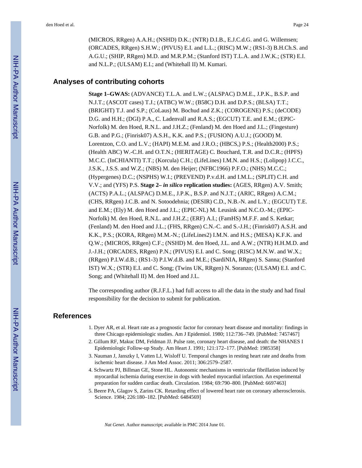(MICROS, RRgen) A.A.H.; (NSHD) D.K.; (NTR) D.I.B., E.J.C.d.G. and G. Willemsen; (ORCADES, RRgen) S.H.W.; (PIVUS) E.I. and L.L.; (RISC) M.W.; (RS1-3) B.H.Ch.S. and A.G.U.; (SHIP, RRgen) M.D. and M.R.P.M.; (Stanford IST) T.L.A. and J.W.K.; (STR) E.I. and N.L.P.; (ULSAM) E.I.; and (Whitehall II) M. Kumari.

# **Analyses of contributing cohorts**

**Stage 1–GWAS:** (ADVANCE) T.L.A. and L.W.; (ALSPAC) D.M.E., J.P.K., B.S.P. and N.J.T.; (ASCOT cases) T.J.; (ATBC) W.W.; (B58C) D.H. and D.P.S.; (BLSA) T.T.; (BRIGHT) T.J. and S.P.; (CoLaus) M. Bochud and Z.K.; (COROGENE) P.S.; (deCODE) D.G. and H.H.; (DGI) P.A., C. Ladenvall and R.A.S.; (EGCUT) T.E. and E.M.; (EPIC-Norfolk) M. den Hoed, R.N.L. and J.H.Z.; (Fenland) M. den Hoed and J.L.; (Fingesture) G.B. and P.G.; (Finrisk07) A.S.H., K.K. and P.S.; (FUSION) A.U.J.; (GOOD) M. Lorentzon, C.O. and L.V.; (HAPI) M.E.M. and J.R.O.; (HBCS,) P.S.; (Health2000) P.S.; (Health ABC) W.-C.H. and O.T.N.; (HERITAGE) C. Bouchard, T.R. and D.C.R.; (HPFS) M.C.C. (InCHIANTI) T.T.; (Korcula) C.H.; (LifeLines) I.M.N. and H.S.; (Lolipop) J.C.C., J.S.K., J.S.S. and W.Z.; (NBS) M. den Heijer; (NFBC1966) P.F.O.; (NHS) M.C.C.; (Hypergenes) D.C.; (NSPHS) W.I.; (PREVEND) P.v.d.H. and I.M.L.; (SPLIT) C.H. and V.V.; and (YFS) P.S. **Stage 2–** *in silico* **replication studies:** (AGES, RRgen) A.V. Smith; (ACTS) P.A.L.; (ALSPAC) D.M.E., J.P.K., B.S.P. and N.J.T.; (ARIC, RRgen) A.C.M.; (CHS, RRgen) J.C.B. and N. Sotoodehnia; (DESIR) C.D., N.B.-N. and L.Y.; (EGCUT) T.E. and E.M.; (Ely) M. den Hoed and J.L.; (EPIC-NL) M. Leusink and N.C.O.-M.; (EPIC-Norfolk) M. den Hoed, R.N.L. and J.H.Z.; (ERF) A.I.; (FamHS) M.F.F. and S. Ketkar; (Fenland) M. den Hoed and J.L.; (FHS, RRgen) C.N.-C. and S.-J.H.; (Finrisk07) A.S.H. and K.K., P.S.; (KORA, RRgen) M.M.-N.; (LifeLines2) I.M.N. and H.S.; (MESA) K.F.K. and Q.W.; (MICROS, RRgen) C.F.; (NSHD) M. den Hoed, J.L. and A.W.; (NTR) H.H.M.D. and J.-J.H.; (ORCADES, RRgen) P.N.; (PIVUS) E.I. and C. Song; (RISC) M.N.W. and W.X.; (RRgen) P.I.W.d.B.; (RS1-3) P.I.W.d.B. and M.E.; (SardiNIA, RRgen) S. Sanna; (Stanford IST) W.X.; (STR) E.I. and C. Song; (Twins UK, RRgen) N. Soranzo; (ULSAM) E.I. and C. Song; and (Whitehall II) M. den Hoed and J.L.

The corresponding author (R.J.F.L.) had full access to all the data in the study and had final responsibility for the decision to submit for publication.

# **References**

- 1. Dyer AR, et al. Heart rate as a prognostic factor for coronary heart disease and mortality: findings in three Chicago epidemiologic studies. Am J Epidemiol. 1980; 112:736–749. [PubMed: 7457467]
- 2. Gillum RF, Makuc DM, Feldman JJ. Pulse rate, coronary heart disease, and death: the NHANES I Epidemiologic Follow-up Study. Am Heart J. 1991; 121:172–177. [PubMed: 1985358]
- 3. Nauman J, Janszky I, Vatten LJ, Wisloff U. Temporal changes in resting heart rate and deaths from ischemic heart disease. J Am Med Assoc. 2011; 306:2579–2587.
- 4. Schwartz PJ, Billman GE, Stone HL. Autonomic mechanisms in ventricular fibrillation induced by myocardial ischemia during exercise in dogs with healed myocardial infarction. An experimental preparation for sudden cardiac death. Circulation. 1984; 69:790–800. [PubMed: 6697463]
- 5. Beere PA, Glagov S, Zarins CK. Retarding effect of lowered heart rate on coronary atherosclerosis. Science. 1984; 226:180–182. [PubMed: 6484569]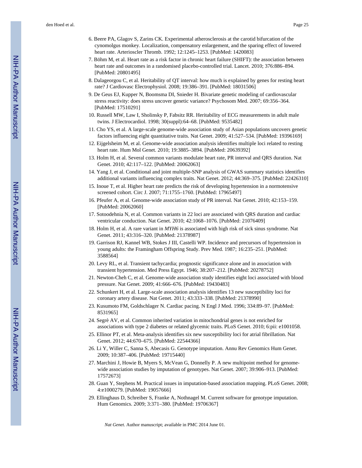- 6. Beere PA, Glagov S, Zarins CK. Experimental atherosclerosis at the carotid bifurcation of the cynomolgus monkey. Localization, compensatory enlargement, and the sparing effect of lowered heart rate. Arterioscler Thromb. 1992; 12:1245–1253. [PubMed: 1420083]
- 7. Böhm M, et al. Heart rate as a risk factor in chronic heart failure (SHIFT): the association between heart rate and outcomes in a randomised placebo-controlled trial. Lancet. 2010; 376:886–894. [PubMed: 20801495]
- 8. Dalageorgou C, et al. Heritability of QT interval: how much is explained by genes for resting heart rate? J Cardiovasc Electrophysiol. 2008; 19:386–391. [PubMed: 18031506]
- 9. De Geus EJ, Kupper N, Boomsma DI, Snieder H. Bivariate genetic modeling of cardiovascular stress reactivity: does stress uncover genetic variance? Psychosom Med. 2007; 69:356–364. [PubMed: 17510291]
- 10. Russell MW, Law I, Sholinsky P, Fabsitz RR. Heritability of ECG measurements in adult male twins. J Electrocardiol. 1998; 30(suppl):64–68. [PubMed: 9535482]
- 11. Cho YS, et al. A large-scale genome-wide association study of Asian populations uncovers genetic factors influencing eight quantitative traits. Nat Genet. 2009; 41:527–534. [PubMed: 19396169]
- 12. Eijgelsheim M, et al. Genome-wide association analysis identifies multiple loci related to resting heart rate. Hum Mol Genet. 2010; 19:3885–3894. [PubMed: 20639392]
- 13. Holm H, et al. Several common variants modulate heart rate, PR interval and QRS duration. Nat Genet. 2010; 42:117–122. [PubMed: 20062063]
- 14. Yang J, et al. Conditional and joint multiple-SNP analysis of GWAS summary statistics identifies additional variants influencing complex traits. Nat Genet. 2012; 44:369–375. [PubMed: 22426310]
- 15. Inoue T, et al. Higher heart rate predicts the risk of developing hypertension in a normotensive screened cohort. Circ J. 2007; 71:1755–1760. [PubMed: 17965497]
- 16. Pfeufer A, et al. Genome-wide association study of PR interval. Nat Genet. 2010; 42:153–159. [PubMed: 20062060]
- 17. Sotoodehnia N, et al. Common variants in 22 loci are associated with QRS duration and cardiac ventricular conduction. Nat Genet. 2010; 42:1068–1076. [PubMed: 21076409]
- 18. Holm H, et al. A rare variant in *MYH6* is associated with high risk of sick sinus syndrome. Nat Genet. 2011; 43:316–320. [PubMed: 21378987]
- 19. Garrison RJ, Kannel WB, Stokes J III, Castelli WP. Incidence and precursors of hypertension in young adults: the Framingham Offspring Study. Prev Med. 1987; 16:235–251. [PubMed: 3588564]
- 20. Levy RL, et al. Transient tachycardia; prognostic significance alone and in association with transient hypertension. Med Press Egypt. 1946; 38:207–212. [PubMed: 20278752]
- 21. Newton-Cheh C, et al. Genome-wide association study identifies eight loci associated with blood pressure. Nat Genet. 2009; 41:666–676. [PubMed: 19430483]
- 22. Schunkert H, et al. Large-scale association analysis identifies 13 new susceptibility loci for coronary artery disease. Nat Genet. 2011; 43:333–338. [PubMed: 21378990]
- 23. Kusumoto FM, Goldschlager N. Cardiac pacing. N Engl J Med. 1996; 334:89–97. [PubMed: 8531965]
- 24. Segrè AV, et al. Common inherited variation in mitochondrial genes is not enriched for associations with type 2 diabetes or related glycemic traits. PLoS Genet. 2010; 6:pii: e1001058.
- 25. Ellinor PT, et al. Meta-analysis identifies six new susceptibility loci for atrial fibrillation. Nat Genet. 2012; 44:670–675. [PubMed: 22544366]
- 26. Li Y, Willer C, Sanna S, Abecasis G. Genotype imputation. Annu Rev Genomics Hum Genet. 2009; 10:387–406. [PubMed: 19715440]
- 27. Marchini J, Howie B, Myers S, McVean G, Donnelly P. A new multipoint method for genomewide association studies by imputation of genotypes. Nat Genet. 2007; 39:906–913. [PubMed: 17572673]
- 28. Guan Y, Stephens M. Practical issues in imputation-based association mapping. PLoS Genet. 2008; 4:e1000279. [PubMed: 19057666]
- 29. Ellinghaus D, Schreiber S, Franke A, Nothnagel M. Current software for genotype imputation. Hum Genomics. 2009; 3:371–380. [PubMed: 19706367]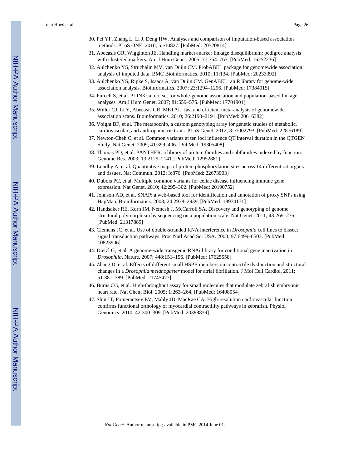- 30. Pei YF, Zhang L, Li J, Deng HW. Analyses and comparison of imputation-based association methods. PLoS ONE. 2010; 5:e10827. [PubMed: 20520814]
- 31. Abecasis GR, Wigginton JE. Handling marker-marker linkage disequilibrium: pedigree analysis with clustered markers. Am J Hum Genet. 2005; 77:754–767. [PubMed: 16252236]
- 32. Aulchenko YS, Struchalin MV, van Duijn CM. ProbABEL package for genomewide association analysis of imputed data. BMC Bioinformatics. 2010; 11:134. [PubMed: 20233392]
- 33. Aulchenko YS, Ripke S, Isaacs A, van Duijn CM. GenABEL: an R library for genome-wide association analysis. Bioinformatics. 2007; 23:1294–1296. [PubMed: 17384015]
- 34. Purcell S, et al. PLINK: a tool set for whole-genome association and population-based linkage analyses. Am J Hum Genet. 2007; 81:559–575. [PubMed: 17701901]
- 35. Willer CJ, Li Y, Abecasis GR. METAL: fast and efficient meta-analysis of genomewide association scans. Bioinformatics. 2010; 26:2190–2191. [PubMed: 20616382]
- 36. Voight BF, et al. The metabochip, a custom genotyping array for genetic studies of metabolic, cardiovascular, and anthropometric traits. PLoS Genet. 2012; 8:e1002793. [PubMed: 22876189]
- 37. Newton-Cheh C, et al. Common variants at ten loci influence QT interval duration in the QTGEN Study. Nat Genet. 2009; 41:399–406. [PubMed: 19305408]
- 38. Thomas PD, et al. PANTHER: a library of protein families and subfamilies indexed by function. Genome Res. 2003; 13:2129–2141. [PubMed: 12952881]
- 39. Lundby A, et al. Quantitative maps of protein phosphorylation sites across 14 different rat organs and tissues. Nat Commun. 2012; 3:876. [PubMed: 22673903]
- 40. Dubois PC, et al. Multiple common variants for celiac disease influencing immune gene expression. Nat Genet. 2010; 42:295–302. [PubMed: 20190752]
- 41. Johnson AD, et al. SNAP: a web-based tool for identification and annotation of proxy SNPs using HapMap. Bioinformatics. 2008; 24:2938–2939. [PubMed: 18974171]
- 42. Handsaker RE, Korn JM, Nemesh J, McCarroll SA. Discovery and genotyping of genome structural polymorphism by sequencing on a population scale. Nat Genet. 2011; 43:269–276. [PubMed: 21317889]
- 43. Clemens JC, et al. Use of double-stranded RNA interference in *Drosophila* cell lines to dissect signal transduction pathways. Proc Natl Acad Sci USA. 2000; 97:6499–6503. [PubMed: 10823906]
- 44. Dietzl G, et al. A genome-wide transgenic RNAi library for conditional gene inactivation in *Drosophila*. Nature. 2007; 448:151–156. [PubMed: 17625558]
- 45. Zhang D, et al. Effects of different small HSPB members on contractile dysfunction and structural changes in a *Drosophila melanogaster* model for atrial fibrillation. J Mol Cell Cardiol. 2011; 51:381–389. [PubMed: 21745477]
- 46. Burns CG, et al. High-throughput assay for small molecules that modulate zebrafish embryonic heart rate. Nat Chem Biol. 2005; 1:263–264. [PubMed: 16408054]
- 47. Shin JT, Pomerantsev EV, Mably JD, MacRae CA. High-resolution cardiovascular function confirms functional orthology of myocardial contractility pathways in zebrafish. Physiol Genomics. 2010; 42:300–309. [PubMed: 20388839]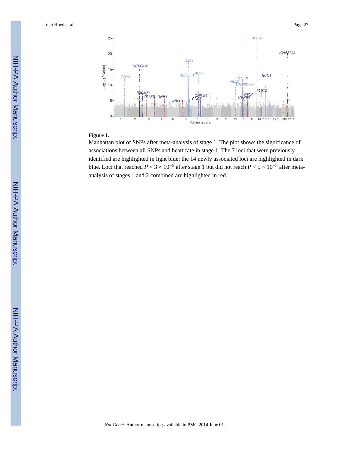

### **Figure 1.**

Manhattan plot of SNPs after meta-analysis of stage 1. The plot shows the significance of associations between all SNPs and heart rate in stage 1. The 7 loci that were previously identified are highlighted in light blue; the 14 newly associated loci are highlighted in dark blue. Loci that reached *P* < 3 × 10−5 after stage 1 but did not reach *P* < 5 × 10−8 after metaanalysis of stages 1 and 2 combined are highlighted in red.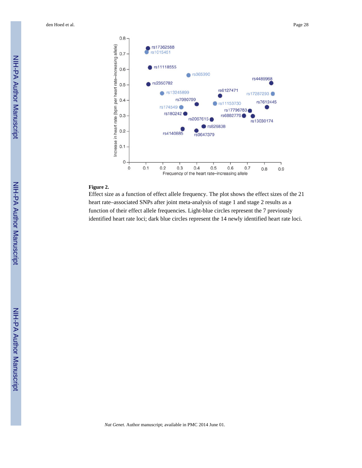

#### **Figure 2.**

Effect size as a function of effect allele frequency. The plot shows the effect sizes of the 21 heart rate–associated SNPs after joint meta-analysis of stage 1 and stage 2 results as a function of their effect allele frequencies. Light-blue circles represent the 7 previously identified heart rate loci; dark blue circles represent the 14 newly identified heart rate loci.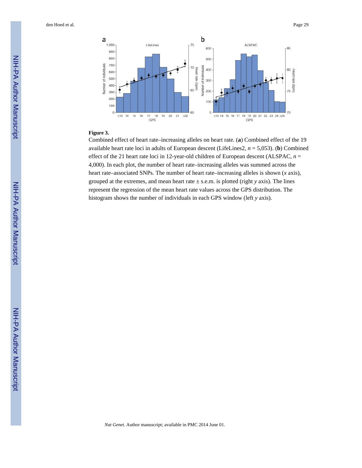

#### **Figure 3.**

Combined effect of heart rate–increasing alleles on heart rate. (**a**) Combined effect of the 19 available heart rate loci in adults of European descent (LifeLines2, *n* = 5,053). (**b**) Combined effect of the 21 heart rate loci in 12-year-old children of European descent (ALSPAC, *n* = 4,000). In each plot, the number of heart rate–increasing alleles was summed across the heart rate–associated SNPs. The number of heart rate–increasing alleles is shown (*x* axis), grouped at the extremes, and mean heart rate  $\pm$  s.e.m. is plotted (right *y* axis). The lines represent the regression of the mean heart rate values across the GPS distribution. The histogram shows the number of individuals in each GPS window (left *y* axis).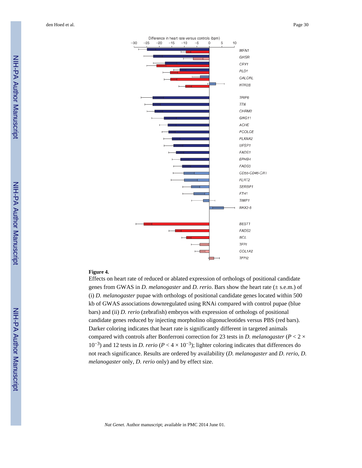

#### **Figure 4.**

Effects on heart rate of reduced or ablated expression of orthologs of positional candidate genes from GWAS in *D. melanogaster* and *D. rerio*. Bars show the heart rate  $(\pm$  s.e.m.) of (i) *D. melanogaster* pupae with orthologs of positional candidate genes located within 500 kb of GWAS associations downregulated using RNAi compared with control pupae (blue bars) and (ii) *D. rerio* (zebrafish) embryos with expression of orthologs of positional candidate genes reduced by injecting morpholino oligonucleotides versus PBS (red bars). Darker coloring indicates that heart rate is significantly different in targeted animals compared with controls after Bonferroni correction for 23 tests in *D. melanogaster* (*P* < 2 × 10−3) and 12 tests in *D. rerio* (*P* < 4 × 10−3); lighter coloring indicates that differences do not reach significance. Results are ordered by availability (*D. melanogaster* and *D. rerio*, *D. melanogaster* only, *D. rerio* only) and by effect size.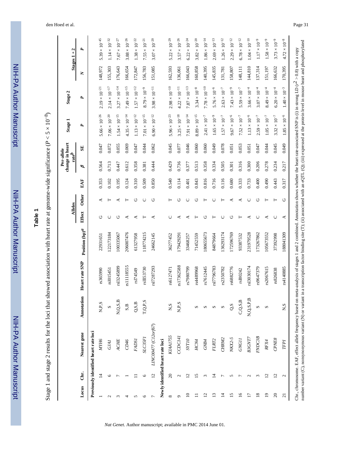NIH-PA Author Manuscript NIH-PA Author Manuscript

NIH-PA Author Manuscript

NIH-PA Author Manuscript

| í, |  |
|----|--|
|    |  |
|    |  |
|    |  |

| j                                                                       |
|-------------------------------------------------------------------------|
| ı                                                                       |
| Ì                                                                       |
|                                                                         |
| ľ                                                                       |
| ł                                                                       |
| į                                                                       |
| ֡֡֡֡֡֡֡                                                                 |
|                                                                         |
|                                                                         |
|                                                                         |
|                                                                         |
|                                                                         |
| i                                                                       |
| $\mathbf{r}$                                                            |
|                                                                         |
| ł                                                                       |
| i                                                                       |
|                                                                         |
| ֢ׅ֧֧֢ׅ֧ׅ֧֚֚֚֚֚֚֚֚֚֚֚֚֚֚֚֬֡֡֓֡֝֜֝                                        |
|                                                                         |
| ţ<br>j                                                                  |
| ţ                                                                       |
| ļ                                                                       |
| j                                                                       |
| i                                                                       |
|                                                                         |
| l                                                                       |
| į                                                                       |
| i                                                                       |
|                                                                         |
| $\frac{1}{2}$<br>i                                                      |
| I                                                                       |
| l<br>١<br>֦֧֧֧֦֧ׅ֧ׅ֧֧ׅ֧ׅ֧ׅ֧֧֧֧֧֚֚֚֚֚֚֚֚֚֚֚֚֚֚֚֚֚֚֚֚֚֚֚֚֚֟֝֓֜֓֜֓֜֓֜֜֜֜֓֜ |
| j<br>j<br>ţ                                                             |
| I                                                                       |
| cage<br>١                                                               |
| $\overline{a}$<br>l<br>ì                                                |

|                 |                 |                                                                                                                                                                                                                                                                          |                       |                                                                                                                                                |                   | <b>Alleles</b> |              |       | change in heart<br>Per-allele<br>${\rm rate}^b$ |       | Stage 1                | Stage 2                |         | 2<br>$Stages 1 +$      |
|-----------------|-----------------|--------------------------------------------------------------------------------------------------------------------------------------------------------------------------------------------------------------------------------------------------------------------------|-----------------------|------------------------------------------------------------------------------------------------------------------------------------------------|-------------------|----------------|--------------|-------|-------------------------------------------------|-------|------------------------|------------------------|---------|------------------------|
| Locus           | Chr.            | Nearest gene                                                                                                                                                                                                                                                             | Annotation            | Heart rate SNP                                                                                                                                 | Position $(bp)^d$ | <b>Effect</b>  | <b>Other</b> | EAF   | ء                                               | SE    | Р,                     | ٩                      | Z       | A,                     |
|                 |                 | Previously identified heart rate loci                                                                                                                                                                                                                                    |                       |                                                                                                                                                |                   |                |              |       |                                                 |       |                        |                        |         |                        |
|                 | ュ               | MYH6                                                                                                                                                                                                                                                                     | N.P.S                 | rs365990                                                                                                                                       | 22931651          | O              | ⋖            | 0.353 | 0.564                                           | 0.047 | $5.66\times10^{-26}$   | $2.19\times10^{-21}$   | 148,972 | $5.39 \times 10^{-45}$ |
| 2               | ৩               | GJAI                                                                                                                                                                                                                                                                     | S                     | rs101545                                                                                                                                       | 122173184         | ◡              |              | 0.102 | 0.713                                           | 0.072 | $7.06\times10^{-20}$   | $2.14\times10^{-17}$   | 155,303 | $1.14 \times 10^{-32}$ |
| $\sim$          |                 | ACHE                                                                                                                                                                                                                                                                     | N,Q.S.B               | rs13245899                                                                                                                                     | 100335067         | O              | ⋖            | 0.195 | 0.447                                           | 0.055 | $1.54\times10^{-15}$   | $3.27 \times 10^{-14}$ | 176,643 | $7.67 \times 10^{-27}$ |
|                 |                 | CD46                                                                                                                                                                                                                                                                     | S,B                   | rs11118555                                                                                                                                     | 206007476         | ⋖              |              | 0.124 | 0.612                                           | 0.069 | $4.35 \times 10^{-14}$ | $7.49\times10^{-15}$   | 166,654 | $3.88 \times 10^{-26}$ |
|                 |                 | <b>FADS1</b>                                                                                                                                                                                                                                                             | Q, S, B               | rs174549                                                                                                                                       | 61327958          | ⋖              | O            | 0.310 | 0.358                                           | 0.047 | $1.13\times10^{-12}$   | $1.57\times10^{-12}$   | 172,847 | $1.38 \times 10^{-22}$ |
| ١C              | $\circ$         | <b>SLC35F1</b>                                                                                                                                                                                                                                                           | T,Q.P.S               | rsll53730                                                                                                                                      | 118774215         | ⊢              | U            | 0.509 | 0.381                                           | 0.044 | $7.01\times10^{-15}$   | $8.79\times10^{-9}$    | 156,783 | $7.55 \times 10^{-21}$ |
|                 | $\overline{12}$ | LINC00477 (C12orf67)                                                                                                                                                                                                                                                     |                       | rs17287293                                                                                                                                     | 24662145          | ⋖              | O            | 0.850 | 0.444                                           | 0.062 | $6.90\times10^{-12}$   | $3.98\times10^{-11}$   | 151,085 | $3.07 \times 10^{-20}$ |
|                 |                 | Newly identified heart rate loci                                                                                                                                                                                                                                         |                       |                                                                                                                                                |                   |                |              |       |                                                 |       |                        |                        |         |                        |
| $\infty$        | $\Omega$        | <b>KIAA1755</b>                                                                                                                                                                                                                                                          | N, S                  | rs612747                                                                                                                                       | 36277452          | ပ              |              | 0.540 | 0.429                                           | 0.045 | $5.96\times10^{-23}$   | $2.98\times10^{-10}$   | 162,593 | $5.22 \times 10^{-29}$ |
| $\circ$         | 2               | CCDC141                                                                                                                                                                                                                                                                  | N,P,S                 | rs17362588                                                                                                                                     | 17942929          | ⋖              | O            | 0.114 | 0.736                                           | 0.077 | $3.25\times10^{-18}$   | $4.22\times10^{-11}$   | 136,061 | $3.57 \times 10^{-26}$ |
| $\overline{a}$  | $\overline{c}$  | <b>SYT10</b>                                                                                                                                                                                                                                                             |                       | rs7980799                                                                                                                                      | 33468257          | ⋖              | ◡            | 0.401 | 0.377                                           | 0.046 | $7.91\times10^{-14}$   | $7.87\times10^{-13}$   | 166,043 | $6.22 \times 10^{-24}$ |
|                 | 15              | HCN4                                                                                                                                                                                                                                                                     | S                     | rs4489968                                                                                                                                      | 71452559          | ⊢              | O            | 0.843 | 0.513                                           | 0.060 | $8.89\times10^{-15}$   | $3.34\times10^{-8}$    | 160,858 | $3.82 \times 10^{-20}$ |
| $\overline{c}$  | 3               | $GNB4$                                                                                                                                                                                                                                                                   | S                     | rs7612445                                                                                                                                      | 180655673         | O              |              | 0.816 | 0.358                                           | 0.060 | $2.41\times10^{-7}$    | $7.78\times10^{-10}$   | 140,395 | $1.86 \times 10^{-14}$ |
| $\Xi$           | 4               | FLRT <sub>2</sub>                                                                                                                                                                                                                                                        | S                     | rs17796783                                                                                                                                     | 84879664          | ⊢              | U            | 0.716 | 0.334                                           | 0.049 | $1.65\times10^{-9}$    | $5.76 \times 10^{-6}$  | 145,835 | $2.69\times10^{-13}$   |
| 그               |                 | CHRM2                                                                                                                                                                                                                                                                    | S                     | rs2350782                                                                                                                                      | 136293174         | ◡              |              | 0.116 | 0.505                                           | 0.078 | $1.57 \times 10^{-7}$  | $2.63\times10^{-7}$    | 131,781 | $1.26\times10^{-12}$   |
| 5               | 5               | NKX2-5                                                                                                                                                                                                                                                                   | Q.S                   | rs6882776                                                                                                                                      | 172596769         | v              | ⋖            | 0.680 | 0.301                                           | 0.051 | $9.67\times10^{-6}$    | $7.43\times10^{-9}$    | 158,807 | $2.29\times10^{-12}$   |
| $\overline{16}$ | $\overline{ }$  | <b>GNG11</b>                                                                                                                                                                                                                                                             | $C$ , $Q$ , $S$ , $B$ | rs180242                                                                                                                                       | 93387532          | Н              | ⋖            | 0.333 | 0.316                                           | 0.053 | $7.52\times10^{-7}$    | $5.59 \times 10^{-7}$  | 148,111 | $6.78\times10^{-12}$   |
| $\overline{1}$  | $\mathbf{C}$    | B3GNT7                                                                                                                                                                                                                                                                   | $\sim$<br>N,Q,S,P,I   | rs13030174                                                                                                                                     | 231979528         | ⋖              | ◡            | 0.733 | 0.300                                           | 0.051 | $1.13 \times 10^{-6}$  | $3.66 \times 10^{-4}$  | 144,810 | $1.04\times10^{-10}$   |
| $^{18}$         | $\sim$          | FNDC3B                                                                                                                                                                                                                                                                   | s                     | rs9647379                                                                                                                                      | 173267862         | ◡              | U            | 0.400 | 0.206                                           | 0.047 | $2.59\times10^{-7}$    | $3.07 \times 10^{-4}$  | 137,314 | $1.17\times10^{-9}$    |
| $\overline{1}$  | $\overline{12}$ | RFX4                                                                                                                                                                                                                                                                     | S                     | rs2067615                                                                                                                                      | 105673552         | ⋖              | F            | 0.490 | 0.278                                           | 0.044 | $1.05\times10^{-7}$    | $8.49 \times 10^{-4}$  | 151,197 | $1.58 \times 10^{-9}$  |
| $\Omega$        | $\overline{c}$  | CPNE8                                                                                                                                                                                                                                                                    |                       | rs826838                                                                                                                                       | 37392998          | ◡              | ⊢            | 0.443 | 0.234                                           | 0.045 | $3.32\times10^{-7}$    | $6.20\times10^{-4}$    | 166,632 | $3.73 \times 10^{-9}$  |
| $\overline{c}$  | $\mathcal{L}$   | <b>TFPI</b>                                                                                                                                                                                                                                                              | N, S                  | rs4140885                                                                                                                                      | 88041309          | ≺              | U            | 0.317 | 0.217                                           | 0.049 | $1.85\times10^{-6}$    | $1.40\times10^{-3}$    | 170,395 | $4.72\times10^{-8}$    |
|                 |                 | number variant (C), nonsynonymous variant (N) or variant in a transcription factor binding site (T); (ii) associated with an eQTL (Q); (iii) expressed at the protein level in mouse heart and phosphorylated<br>Chr., chromosome. EAF, effect allele frequency based on |                       | meta-analysis of stages 1 and 2 combined. Annotation shows whether the heart rate-associated SNP is (i) in strong LD $(r^2 > 0.8)$ with a copy |                   |                |              |       |                                                 |       |                        |                        |         |                        |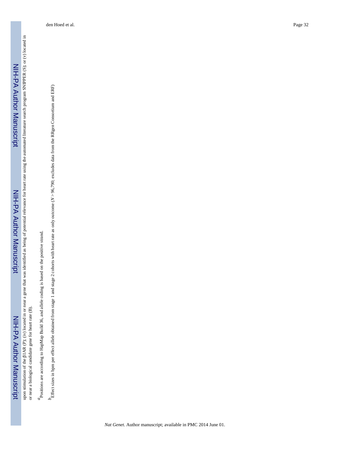upon stimulation of the β1AR (P); (iv) located in or near a gene that was identified as being of potential relevance for heart rate using the automated literature search program SNIPPER (S); or (v) located in<br>or near a bio upon stimulation of the β1AR (P); (iv) located in or near a gene that was identified as being of potential relevance for heart rate using the automated literature search program SNIPPER (S); or (v) located in or near a biological candidate gene for heart rate (B).

 $^4$  Positions are according to HapMap Build 36, and allele coding is based on the positive strand. *a*Positions are according to HapMap Build 36, and allele coding is based on the positive strand.

 $^{b}$ Effect sizes in bpm per effect allele obtained from stage 1 and stage 2 cohorts with heart rate as only outcome ( $N > 96,790$ ; excludes data from the RRgen Consortium and ERF) *N* > 96,790; excludes data from the RRgen Consortium and ERF) *b*Effect sizes in bpm per effect allele obtained from stage 1 and stage 2 cohorts with heart rate as only outcome (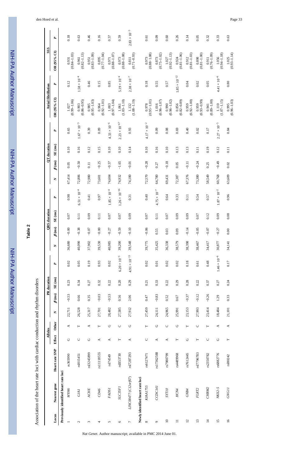**Table 2**

Association of the heart rate loci with cardiac conduction and rhythm disorders Association of the heart rate loci with cardiac conduction and rhythm disorders

|                 |                                                          |                |               |                |        |              |             |                      |        |           |              |                       |        |                   | <b>QT</b> duration |                       |                            |                       | SSS                                                 |                     |
|-----------------|----------------------------------------------------------|----------------|---------------|----------------|--------|--------------|-------------|----------------------|--------|-----------|--------------|-----------------------|--------|-------------------|--------------------|-----------------------|----------------------------|-----------------------|-----------------------------------------------------|---------------------|
|                 |                                                          |                |               | <b>Alleles</b> |        |              | PR duration |                      |        |           | QRS duration |                       |        |                   |                    |                       | <b>Atrial fibrillation</b> |                       |                                                     |                     |
| Locus           | Nearest gene                                             | Heart rate SNP | <b>Effect</b> | Other          | $\geq$ | $\beta$ (ms) | SE (ms)     | $\mathbf{p}_i$       | $\geq$ | (ms)<br>Φ | $SE$ (ms)    | P,                    | Z      | $\beta$ (ms)      | $SE$ (ms)          | $\mathbf{r}$          | OR (95% CI)                | $\mathbf{p}_i$        | OR (95% CI)                                         | Р,                  |
|                 | Previously identified heart rate loci                    |                |               |                |        |              |             |                      |        |           |              |                       |        |                   |                    |                       |                            |                       |                                                     |                     |
|                 | МҮНб                                                     | rs365990       | O             | ⋖              | 22,711 | $-0.53$      | 0.23        | 0.02                 | 36,680 | $-0.00$   | 0.07         | 0.98                  | 67,414 | 0.05              | 0.10               | 0.65                  | $(0.99 - 1.06)$<br>1.027   | 0.12                  | $(0.84 - 1.03)$<br>0.931                            | 0.18                |
| $\mathbf{c}$    | <b>GJAI</b>                                              | rsl015451      | $\cup$        | ⊢              | 26,528 | 0.66         | 0.34        | 0.05                 | 40,090 | $-0.38$   | 0.11         | $6.51 \times 10^{-4}$ | 72,806 | $-0.50$           | 0.16               | $1.67\times10^{-3}$   | $(0.86 - 0.95)$<br>0.903   | $1.58 \times 10^{-4}$ | $(0.82 - 1.13)$<br>0.961                            | 0.63                |
| 3               | ACHE                                                     | rs13245899     | O             | ⋖              | 25,317 | 0.35         | 0.27        | 0.19                 | 37,902 | $-0.07$   | 0.09         | 0.41                  | 72,980 | $\overline{0.11}$ | 0.12               | 0.39                  | $(0.95 - 1.03)$<br>0.985   | 0.46                  | $(0.83 - 1.09)$<br>0.951                            | 0.46                |
| 4               | CD46                                                     | rs11118555     | ⋖             | ⊢              | 27,701 | $-0.03$      | 0.32        | 0.93                 | 39,530 | $-0.00$   | 0.11         | 0.97                  | 73,601 | $-0.25$           | 0.15               | 0.09                  | $(0.92 - 1.01)$<br>0.964   | 0.15                  | $(0.77 - 1.04)$<br>0.895                            | 0.16                |
| 5               | FADS1                                                    | rsl74549       | ⋖             | じ              | 28,482 | $-0.53$      | 0.22        | 0.02                 | 40,085 | $-0.27$   | 0.07         | $1.85\times10^{-4}$   | 74,604 | $-0.57$           | 0.10               | $4.33 \times 10^{-6}$ | $(0.97 - 1.04)$<br>1.003   | 0.85                  | $(0.88 - 1.07)$<br>0.971                            | 0.57                |
| $\circ$         | SLC35F1                                                  | rsll153730     | ⊢             | $\mathsf{C}$   | 27,585 | 0.56         | 0.20        | $6.20\times10^{-3}$  | 39,200 | $-0.59$   | 0.07         | $1.26\times10^{-16}$  | 74,932 | $-1.65$           | 0.10               | $2.23\times10^{-67}$  | $(1.03 - 1.10)$<br>1.061   | $5.19 \times 10^{-4}$ | $(0.88 - 1.08)$<br>0.973                            | 0.59                |
| $\overline{ }$  | LINC00477 (C12orf67)<br>Newly identified heart rate loci | rsI7287293     | ⋖             | ゥ              | 27,912 | 2.06         | 0.29        | $4.91\times10^{-13}$ | 39,548 | $-0.10$   | 0.09         | 0.31                  | 74,180 | $-0.01$           | 0.14               | 0.93                  | $(1.08 - 1.19)$<br>1.132   | $2.38 \times 10^{-7}$ | $\begin{array}{c} 0.811 \\ 0.71 - 0.93 \end{array}$ | $2.83\times10^{-3}$ |
| $\infty$        | <b>KIAA1755</b>                                          | rs6127471      | $\cup$        | $\vdash$       | 27,459 | 0.47         | 0.21        | 0.02                 | 39,775 | $-0.06$   | 0.07         | 0.40                  | 72,570 | $-0.28$           | 0.10               | $4.17 \times 10^{-2}$ | $(0.95 - 1.01)$<br>0.978   | 0.18                  | $(0.88 - 1.08)$<br>0.973                            | 0.61                |
| $\sigma$        | CCDC141                                                  | rs17362588     | ⋖             | O              | 24,111 | $-0.83$      | 0.33        | 0.01                 | 35,425 | 0.55      | 0.11         | $4.75 \times 10^{-7}$ | 64,780 | 0.27              | 0.16               | 0.09                  | $(0.96 - 1.07)$<br>1.016   | 0.55                  | $(0.75 - 1.02)$<br>0.873                            | 0.09                |
| $\Xi$           | <b>SYT10</b>                                             | rs7980799      | ⋖             | $\cup$         | 24,965 | 0.52         | 0.22        | 0.02                 | 36,338 | 0.03      | 0.07         | 0.64                  | 69,431 | $-0.18$           | 0.10               | 0.08                  | $(0.96 - 1.02)$<br>0.990   | 0.57                  | $(0.92 - 1.13)$<br>1.027                            | 0.60                |
| $\equiv$        | HCN4                                                     | rs4489968      | Н             | O              | 25,991 | 0.67         | 0.29        | 0.02                 | 38,579 | 0.09      | 0.09         | 0.33                  | 72,387 | 0.05              | 0.13               | 0.69                  | $(0.82 - 0.89)$<br>0.856   | $1.85\times10^{-12}$  | $(0.81 - 1.06)$<br>0.924                            | 0.26                |
| $\overline{c}$  | ${\it GNB4}$                                             | rs7612445      | U             | ⊢              | 23,153 | $-0.37$      | 0.28        | 0.18                 | 38,398 | $-0.14$   | 0.09         | 0.11                  | 67,376 | $-0.11$           | 0.13               | 0.40                  | $(0.92 - 1.00)$<br>0.959   | 0.04                  | $(0.81 - 1.03)$<br>0.912                            | 0.14                |
| $\overline{13}$ | FLRT2                                                    | rsI7796783     | ⊢             | $\cup$         | 27,993 | $-0.12$      | 0.22        | 0.61                 | 38,467 | $-0.05$   | 0.07         | 0.54                  | 73,380 | $-0.24$           | 0.11               | 0.02                  | $(0.93 - 0.99)$<br>0.959   | 0.02                  | $(0.81 - 1.00)$<br>0.898                            | 0.05                |
| $\overline{4}$  | CHRM2                                                    | rs2350782      | U             | Н              | 23,414 | $-0.26$      | 0.37        | 0.48                 | 34,417 | $-0.07$   | 0.12         | 0.57                  | 58,549 | 0.25              | 0.19               | 0.17                  | $(0.89 - 1.00)$<br>0.941   | 0.05                  | $(0.76 - 1.09)$<br>0.911                            | 0.32                |
| $\overline{15}$ | NKX2-5                                                   | rs6882776      | Ü             | ≺              | 18,484 | 1.29         | 0.27        | $1.46\times10^{-6}$  | 30,877 | $-0.27$   | 0.09         | $1.87\times10^{-2}$   | 60,768 | $-0.49$           | 0.12               | $2.27\times10^{-5}$   | $(1.07 - 1.15)$<br>1.110   | $4.41 \times 10^{-6}$ | $(0.94 - 1.18)$<br>1.056                            | 0.33                |
| $\overline{16}$ | <b>GNG11</b>                                             | rs180242       | Н             | ≺              | 21,101 | 0.33         | 0.24        | 0.17                 | 34,141 | 0.00      | $0.08\,$     | 0.96                  | 63,609 | 0.02              | 0.11               | 0.84                  | $(0.96 - 1.03)$<br>0.995   | 0.80                  | $1.025$<br>$(0.93-1.14)$                            | 0.63                |